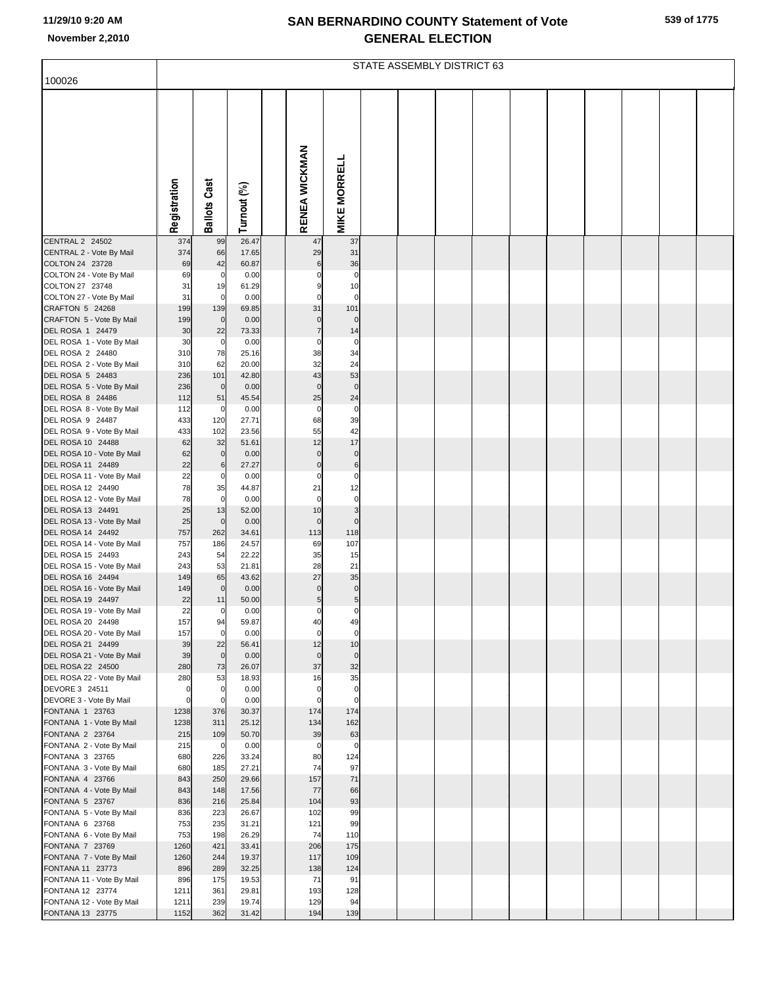|                                                 | STATE ASSEMBLY DISTRICT 63 |                         |                |  |                            |                         |  |  |  |  |  |  |  |  |
|-------------------------------------------------|----------------------------|-------------------------|----------------|--|----------------------------|-------------------------|--|--|--|--|--|--|--|--|
| 100026                                          |                            |                         |                |  |                            |                         |  |  |  |  |  |  |  |  |
|                                                 |                            |                         |                |  |                            |                         |  |  |  |  |  |  |  |  |
|                                                 | Registration               | <b>Ballots Cast</b>     | Turnout (%)    |  | RENEA WICKMAN              | <b>MIKE MORRELL</b>     |  |  |  |  |  |  |  |  |
| CENTRAL 2 24502<br>CENTRAL 2 - Vote By Mail     | 374<br>374                 | 99<br>66                | 26.47<br>17.65 |  | 47<br>29                   | 37<br>31                |  |  |  |  |  |  |  |  |
| COLTON 24 23728                                 | 69                         | 42                      | 60.87          |  | 6                          | 36                      |  |  |  |  |  |  |  |  |
| COLTON 24 - Vote By Mail                        | 69                         | $\mathbf 0$             | 0.00           |  |                            | $\mathbf 0$             |  |  |  |  |  |  |  |  |
| COLTON 27 23748<br>COLTON 27 - Vote By Mail     | 31<br>31                   | 19<br>$\mathbf 0$       | 61.29<br>0.00  |  | 9<br>$\Omega$              | 10<br>$\Omega$          |  |  |  |  |  |  |  |  |
| CRAFTON 5 24268                                 | 199                        | 139                     | 69.85          |  | 31                         | 101                     |  |  |  |  |  |  |  |  |
| CRAFTON 5 - Vote By Mail                        | 199                        | $\mathbf 0$             | 0.00           |  | $\mathbf 0$                | $\mathbf 0$             |  |  |  |  |  |  |  |  |
| DEL ROSA 1 24479                                | 30                         | 22                      | 73.33          |  | $\overline{7}$<br>$\Omega$ | 14                      |  |  |  |  |  |  |  |  |
| DEL ROSA 1 - Vote By Mail<br>DEL ROSA 2 24480   | 30<br>310                  | $\mathbf 0$<br>78       | 0.00<br>25.16  |  | 38                         | $\mathbf 0$<br>34       |  |  |  |  |  |  |  |  |
| DEL ROSA 2 - Vote By Mail                       | 310                        | 62                      | 20.00          |  | 32                         | 24                      |  |  |  |  |  |  |  |  |
| DEL ROSA 5 24483                                | 236                        | 101                     | 42.80          |  | 43                         | 53                      |  |  |  |  |  |  |  |  |
| DEL ROSA 5 - Vote By Mail<br>DEL ROSA 8 24486   | 236<br>112                 | $\mathbf 0$<br>51       | 0.00<br>45.54  |  | $\mathbf 0$<br>25          | $\pmb{0}$<br>24         |  |  |  |  |  |  |  |  |
| DEL ROSA 8 - Vote By Mail                       | 112                        | $\mathbf 0$             | 0.00           |  | $\mathbf 0$                | $\mathbf 0$             |  |  |  |  |  |  |  |  |
| DEL ROSA 9 24487                                | 433                        | 120                     | 27.71          |  | 68                         | 39                      |  |  |  |  |  |  |  |  |
| DEL ROSA 9 - Vote By Mail<br>DEL ROSA 10 24488  | 433<br>62                  | 102<br>32               | 23.56<br>51.61 |  | 55<br>12                   | 42<br>17                |  |  |  |  |  |  |  |  |
| DEL ROSA 10 - Vote By Mail                      | 62                         | $\mathbf 0$             | 0.00           |  | $\Omega$                   | $\mathbf 0$             |  |  |  |  |  |  |  |  |
| DEL ROSA 11 24489                               | 22<br>22                   | 6                       | 27.27<br>0.00  |  | $\mathbf 0$<br>$\Omega$    | 6<br>$\mathbf 0$        |  |  |  |  |  |  |  |  |
| DEL ROSA 11 - Vote By Mail<br>DEL ROSA 12 24490 | 78                         | 0<br>35                 | 44.87          |  | 21                         | 12                      |  |  |  |  |  |  |  |  |
| DEL ROSA 12 - Vote By Mail                      | 78                         | $\mathbf 0$             | 0.00           |  | $\mathbf 0$                | 0                       |  |  |  |  |  |  |  |  |
| DEL ROSA 13 24491<br>DEL ROSA 13 - Vote By Mail | 25<br>25                   | 13<br>$\mathbf 0$       | 52.00<br>0.00  |  | 10<br>$\mathbf 0$          | 3<br>$\mathbf 0$        |  |  |  |  |  |  |  |  |
| DEL ROSA 14 24492                               | 757                        | 262                     | 34.61          |  | 113                        | 118                     |  |  |  |  |  |  |  |  |
| DEL ROSA 14 - Vote By Mail                      | 757                        | 186                     | 24.57          |  | 69                         | 107                     |  |  |  |  |  |  |  |  |
| DEL ROSA 15 24493<br>DEL ROSA 15 - Vote By Mail | 243<br>243                 | 54<br>53                | 22.22<br>21.81 |  | 35<br>28                   | 15<br>21                |  |  |  |  |  |  |  |  |
| DEL ROSA 16 24494                               | 149                        | 65                      | 43.62          |  | 27                         | 35                      |  |  |  |  |  |  |  |  |
| DEL ROSA 16 - Vote By Mail                      | 149                        | $\mathbf 0$             | 0.00           |  | $\mathbf 0$                | $\pmb{0}$               |  |  |  |  |  |  |  |  |
| DEL ROSA 19 24497<br>DEL ROSA 19 - Vote By Mail | 22<br>22                   | 11                      | 50.00<br>0.00  |  | 5<br>$\Omega$              | $\mathbf 5$<br>$\Omega$ |  |  |  |  |  |  |  |  |
| DEL ROSA 20 24498                               | 157                        | 94                      | 59.87          |  | 40                         | 49                      |  |  |  |  |  |  |  |  |
| DEL ROSA 20 - Vote By Mail                      | 157                        | $\mathbf 0$             | 0.00           |  | 0                          | 0                       |  |  |  |  |  |  |  |  |
| DEL ROSA 21 24499<br>DEL ROSA 21 - Vote By Mail | 39<br>39                   | 22<br>$\mathbf 0$       | 56.41<br>0.00  |  | 12<br>$\mathbf 0$          | 10<br>$\bf{0}$          |  |  |  |  |  |  |  |  |
| DEL ROSA 22 24500                               | 280                        | 73                      | 26.07          |  | 37                         | 32                      |  |  |  |  |  |  |  |  |
| DEL ROSA 22 - Vote By Mail                      | 280                        | 53                      | 18.93          |  | 16                         | 35                      |  |  |  |  |  |  |  |  |
| DEVORE 3 24511<br>DEVORE 3 - Vote By Mail       | $\mathbf 0$<br>$\mathbf 0$ | $\mathbf 0$<br>$\Omega$ | 0.00<br>0.00   |  | $\Omega$<br>$\Omega$       | $\mathbf 0$<br>0        |  |  |  |  |  |  |  |  |
| FONTANA 1 23763                                 | 1238                       | 376                     | 30.37          |  | 174                        | 174                     |  |  |  |  |  |  |  |  |
| FONTANA 1 - Vote By Mail                        | 1238                       | 311                     | 25.12          |  | 134                        | 162                     |  |  |  |  |  |  |  |  |
| FONTANA 2 23764<br>FONTANA 2 - Vote By Mail     | 215<br>215                 | 109<br>$\overline{0}$   | 50.70<br>0.00  |  | 39<br>0                    | 63<br>0                 |  |  |  |  |  |  |  |  |
| FONTANA 3 23765                                 | 680                        | 226                     | 33.24          |  | 80                         | 124                     |  |  |  |  |  |  |  |  |
| FONTANA 3 - Vote By Mail                        | 680                        | 185                     | 27.21          |  | 74                         | 97                      |  |  |  |  |  |  |  |  |
| FONTANA 4 23766<br>FONTANA 4 - Vote By Mail     | 843<br>843                 | 250<br>148              | 29.66<br>17.56 |  | 157<br>77                  | 71<br>66                |  |  |  |  |  |  |  |  |
| FONTANA 5 23767                                 | 836                        | 216                     | 25.84          |  | 104                        | 93                      |  |  |  |  |  |  |  |  |
| FONTANA 5 - Vote By Mail                        | 836<br>753                 | 223<br>235              | 26.67<br>31.21 |  | 102<br>121                 | 99<br>99                |  |  |  |  |  |  |  |  |
| FONTANA 6 23768<br>FONTANA 6 - Vote By Mail     | 753                        | 198                     | 26.29          |  | 74                         | 110                     |  |  |  |  |  |  |  |  |
| FONTANA 7 23769                                 | 1260                       | 421                     | 33.41          |  | 206                        | 175                     |  |  |  |  |  |  |  |  |
| FONTANA 7 - Vote By Mail                        | 1260                       | 244                     | 19.37          |  | 117                        | 109                     |  |  |  |  |  |  |  |  |
| FONTANA 11 23773<br>FONTANA 11 - Vote By Mail   | 896<br>896                 | 289<br>175              | 32.25<br>19.53 |  | 138<br>71                  | 124<br>91               |  |  |  |  |  |  |  |  |
| FONTANA 12 23774                                | 1211                       | 361                     | 29.81          |  | 193                        | 128                     |  |  |  |  |  |  |  |  |
| FONTANA 12 - Vote By Mail                       | 1211                       | 239<br>362              | 19.74          |  | 129                        | 94                      |  |  |  |  |  |  |  |  |
| FONTANA 13 23775                                | 1152                       |                         | 31.42          |  | 194                        | 139                     |  |  |  |  |  |  |  |  |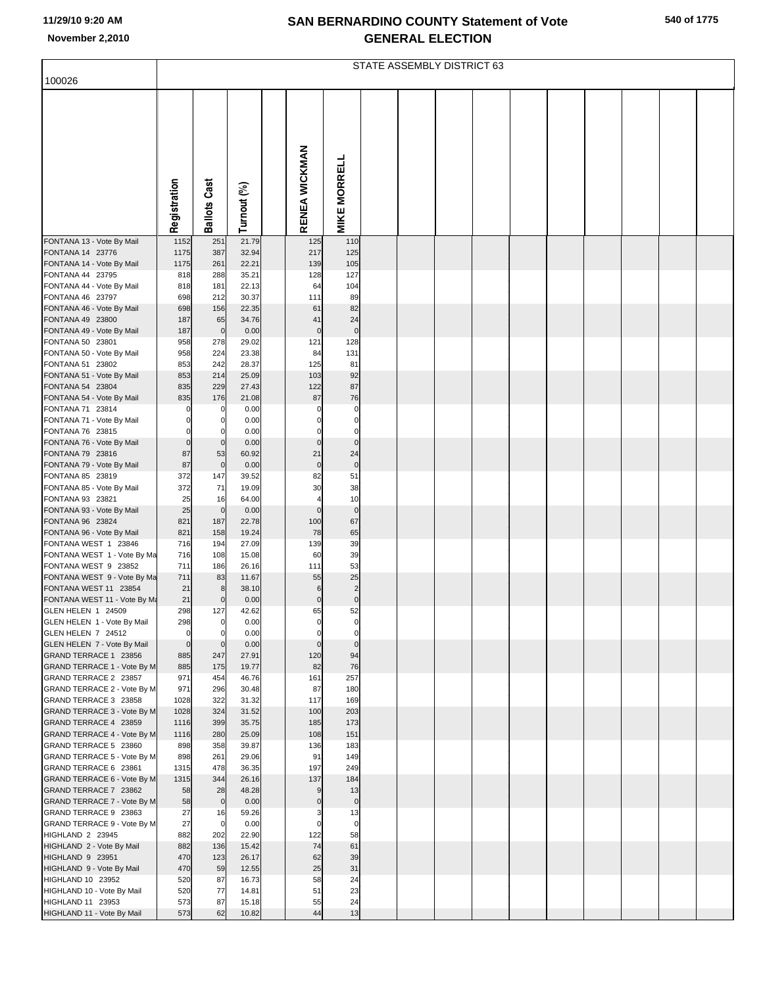| 540 of 1775 |  |  |
|-------------|--|--|
|-------------|--|--|

|                                                             | STATE ASSEMBLY DISTRICT 63 |                     |                |  |                                 |                         |  |  |  |  |  |  |  |  |  |  |
|-------------------------------------------------------------|----------------------------|---------------------|----------------|--|---------------------------------|-------------------------|--|--|--|--|--|--|--|--|--|--|
| 100026                                                      |                            |                     |                |  |                                 |                         |  |  |  |  |  |  |  |  |  |  |
|                                                             | Registration               | <b>Ballots Cast</b> | Turnout (%)    |  | RENEA WICKMAN                   | <b>MIKE MORRELL</b>     |  |  |  |  |  |  |  |  |  |  |
| FONTANA 13 - Vote By Mail                                   | 1152                       | 251                 | 21.79          |  | 125                             | 110                     |  |  |  |  |  |  |  |  |  |  |
| FONTANA 14 23776<br>FONTANA 14 - Vote By Mail               | 1175<br>1175               | 387<br>261          | 32.94<br>22.21 |  | 217<br>139                      | 125<br>105              |  |  |  |  |  |  |  |  |  |  |
| FONTANA 44 23795                                            | 818                        | 288                 | 35.21          |  | 128                             | 127                     |  |  |  |  |  |  |  |  |  |  |
| FONTANA 44 - Vote By Mail<br>FONTANA 46 23797               | 818<br>698                 | 181                 | 22.13<br>30.37 |  | 64                              | 104<br>89               |  |  |  |  |  |  |  |  |  |  |
| FONTANA 46 - Vote By Mail                                   | 698                        | 212<br>156          | 22.35          |  | 111<br>61                       | 82                      |  |  |  |  |  |  |  |  |  |  |
| FONTANA 49 23800                                            | 187                        | 65                  | 34.76          |  | 41                              | 24                      |  |  |  |  |  |  |  |  |  |  |
| FONTANA 49 - Vote By Mail                                   | 187                        | $\mathbf 0$         | 0.00           |  | $\mathbf 0$                     | $\pmb{0}$               |  |  |  |  |  |  |  |  |  |  |
| FONTANA 50 23801<br>FONTANA 50 - Vote By Mail               | 958<br>958                 | 278<br>224          | 29.02<br>23.38 |  | 121<br>84                       | 128<br>131              |  |  |  |  |  |  |  |  |  |  |
| FONTANA 51 23802                                            | 853                        | 242                 | 28.37          |  | 125                             | 81                      |  |  |  |  |  |  |  |  |  |  |
| FONTANA 51 - Vote By Mail                                   | 853                        | 214                 | 25.09          |  | 103                             | 92                      |  |  |  |  |  |  |  |  |  |  |
| FONTANA 54 23804<br>FONTANA 54 - Vote By Mail               | 835<br>835                 | 229<br>176          | 27.43<br>21.08 |  | 122<br>87                       | 87<br>76                |  |  |  |  |  |  |  |  |  |  |
| FONTANA 71 23814                                            | 0                          | 0                   | 0.00           |  | $\Omega$                        | 0                       |  |  |  |  |  |  |  |  |  |  |
| FONTANA 71 - Vote By Mail                                   | 0                          | 0                   | 0.00           |  | $\Omega$                        | $\pmb{0}$               |  |  |  |  |  |  |  |  |  |  |
| FONTANA 76 23815<br>FONTANA 76 - Vote By Mail               | $\Omega$<br>$\overline{0}$ | 0<br>$\mathbf 0$    | 0.00<br>0.00   |  | $\mathbf 0$                     | $\Omega$<br>$\pmb{0}$   |  |  |  |  |  |  |  |  |  |  |
| FONTANA 79 23816                                            | 87                         | 53                  | 60.92          |  | 21                              | 24                      |  |  |  |  |  |  |  |  |  |  |
| FONTANA 79 - Vote By Mail                                   | 87                         | $\mathbf 0$         | 0.00           |  | $\mathbf 0$                     | $\pmb{0}$               |  |  |  |  |  |  |  |  |  |  |
| FONTANA 85 23819                                            | 372<br>372                 | 147<br>71           | 39.52<br>19.09 |  | 82<br>30                        | 51<br>38                |  |  |  |  |  |  |  |  |  |  |
| FONTANA 85 - Vote By Mail<br>FONTANA 93 23821               | 25                         | 16                  | 64.00          |  | $\overline{4}$                  | 10                      |  |  |  |  |  |  |  |  |  |  |
| FONTANA 93 - Vote By Mail                                   | 25                         | $\overline{0}$      | 0.00           |  | $\mathbf 0$                     | $\pmb{0}$               |  |  |  |  |  |  |  |  |  |  |
| FONTANA 96 23824<br>FONTANA 96 - Vote By Mail               | 821<br>821                 | 187<br>158          | 22.78<br>19.24 |  | 100<br>78                       | 67<br>65                |  |  |  |  |  |  |  |  |  |  |
| FONTANA WEST 1 23846                                        | 716                        | 194                 | 27.09          |  | 139                             | 39                      |  |  |  |  |  |  |  |  |  |  |
| FONTANA WEST 1 - Vote By Ma                                 | 716                        | 108                 | 15.08          |  | 60                              | 39                      |  |  |  |  |  |  |  |  |  |  |
| FONTANA WEST 9 23852<br>FONTANA WEST 9 - Vote By Ma         | 711<br>711                 | 186<br>83           | 26.16<br>11.67 |  | 111<br>55                       | 53<br>25                |  |  |  |  |  |  |  |  |  |  |
| FONTANA WEST 11 23854                                       | 21                         | 8                   | 38.10          |  | 6                               | $\overline{\mathbf{c}}$ |  |  |  |  |  |  |  |  |  |  |
| FONTANA WEST 11 - Vote By Ma                                | 21                         | $\mathbf 0$         | 0.00           |  | $\pmb{0}$                       | $\pmb{0}$               |  |  |  |  |  |  |  |  |  |  |
| GLEN HELEN 1 24509<br>GLEN HELEN 1 - Vote By Mail           | 298<br>298                 | 127<br>0            | 42.62<br>0.00  |  | 65                              | 52<br>0                 |  |  |  |  |  |  |  |  |  |  |
| GLEN HELEN 7 24512                                          | $\mathbf{0}$               | O                   | 0.00           |  | $\Omega$                        | $\mathbf 0$             |  |  |  |  |  |  |  |  |  |  |
| GLEN HELEN 7 - Vote By Mail                                 | $\overline{0}$             | $\mathbf 0$         | 0.00           |  | $\mathbf 0$                     | $\pmb{0}$               |  |  |  |  |  |  |  |  |  |  |
| GRAND TERRACE 1 23856<br>GRAND TERRACE 1 - Vote By M        | 885<br>885                 | 247<br>175          | 27.91<br>19.77 |  | 120<br>82                       | 94<br>76                |  |  |  |  |  |  |  |  |  |  |
| GRAND TERRACE 2 23857                                       | 971                        | 454                 | 46.76          |  | 161                             | 257                     |  |  |  |  |  |  |  |  |  |  |
| GRAND TERRACE 2 - Vote By M                                 | 971                        | 296                 | 30.48          |  | 87                              | 180                     |  |  |  |  |  |  |  |  |  |  |
| GRAND TERRACE 3 23858<br><b>GRAND TERRACE 3 - Vote By M</b> | 1028<br>1028               | 322<br>324          | 31.32<br>31.52 |  | 117<br>100                      | 169<br>203              |  |  |  |  |  |  |  |  |  |  |
| GRAND TERRACE 4 23859                                       | 1116                       | 399                 | 35.75          |  | 185                             | 173                     |  |  |  |  |  |  |  |  |  |  |
| GRAND TERRACE 4 - Vote By M                                 | 1116                       | 280                 | 25.09          |  | 108                             | 151                     |  |  |  |  |  |  |  |  |  |  |
| GRAND TERRACE 5 23860<br>GRAND TERRACE 5 - Vote By M        | 898<br>898                 | 358<br>261          | 39.87<br>29.06 |  | 136<br>91                       | 183<br>149              |  |  |  |  |  |  |  |  |  |  |
| GRAND TERRACE 6 23861                                       | 1315                       | 478                 | 36.35          |  | 197                             | 249                     |  |  |  |  |  |  |  |  |  |  |
| GRAND TERRACE 6 - Vote By M                                 | 1315                       | 344                 | 26.16          |  | 137                             | 184                     |  |  |  |  |  |  |  |  |  |  |
| GRAND TERRACE 7 23862<br>GRAND TERRACE 7 - Vote By M        | 58<br>58                   | 28<br>$\mathbf 0$   | 48.28<br>0.00  |  | $\boldsymbol{9}$<br>$\mathbf 0$ | 13<br>$\pmb{0}$         |  |  |  |  |  |  |  |  |  |  |
| GRAND TERRACE 9 23863                                       | 27                         | 16                  | 59.26          |  | 3                               | 13                      |  |  |  |  |  |  |  |  |  |  |
| GRAND TERRACE 9 - Vote By M                                 | 27                         | $\overline{0}$      | 0.00           |  | $\mathbf 0$                     | $\pmb{0}$               |  |  |  |  |  |  |  |  |  |  |
| HIGHLAND 2 23945                                            | 882                        | 202                 | 22.90          |  | 122                             | 58                      |  |  |  |  |  |  |  |  |  |  |
| HIGHLAND 2 - Vote By Mail<br>HIGHLAND 9 23951               | 882<br>470                 | 136<br>123          | 15.42<br>26.17 |  | 74<br>62                        | 61<br>39                |  |  |  |  |  |  |  |  |  |  |
| HIGHLAND 9 - Vote By Mail                                   | 470                        | 59                  | 12.55          |  | 25                              | 31                      |  |  |  |  |  |  |  |  |  |  |
| HIGHLAND 10 23952                                           | 520                        | 87                  | 16.73          |  | 58                              | 24                      |  |  |  |  |  |  |  |  |  |  |
| HIGHLAND 10 - Vote By Mail<br>HIGHLAND 11 23953             | 520<br>573                 | 77<br>87            | 14.81<br>15.18 |  | 51<br>55                        | 23<br>24                |  |  |  |  |  |  |  |  |  |  |
| HIGHLAND 11 - Vote By Mail                                  | 573                        | 62                  | 10.82          |  | 44                              | 13                      |  |  |  |  |  |  |  |  |  |  |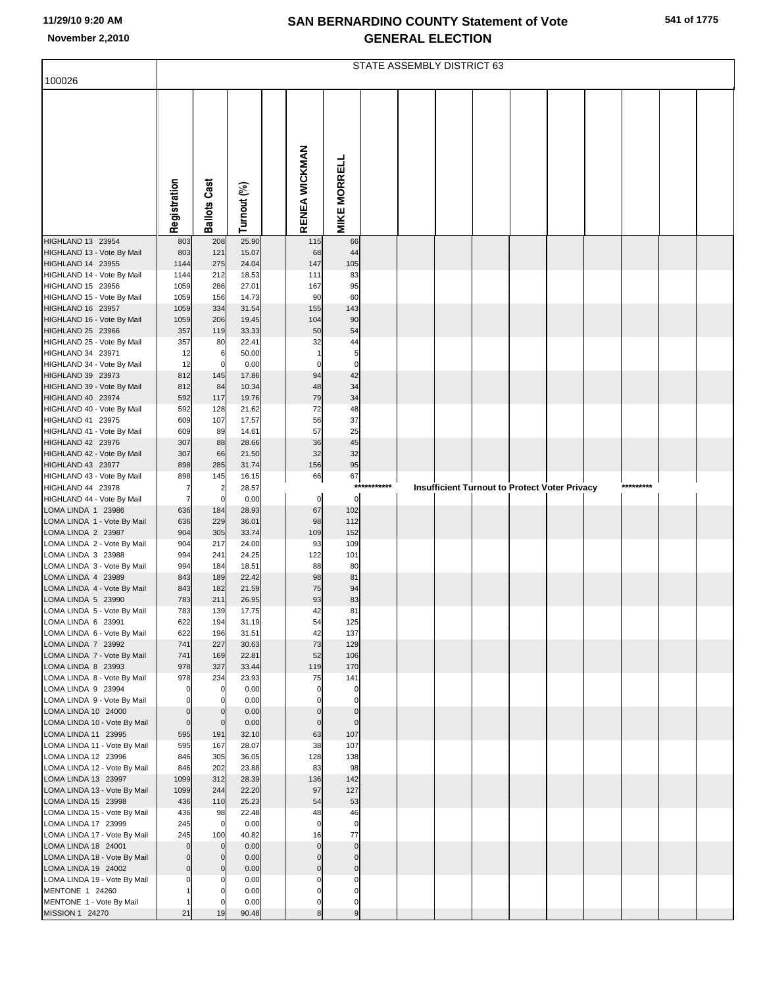|  | 541 of 1775 |
|--|-------------|
|  |             |

|                                                                                                                                  | STATE ASSEMBLY DISTRICT 63                 |                                 |                                           |  |                                      |                                   |             |  |  |  |  |                                               |  |           |  |
|----------------------------------------------------------------------------------------------------------------------------------|--------------------------------------------|---------------------------------|-------------------------------------------|--|--------------------------------------|-----------------------------------|-------------|--|--|--|--|-----------------------------------------------|--|-----------|--|
| 100026                                                                                                                           |                                            |                                 |                                           |  |                                      |                                   |             |  |  |  |  |                                               |  |           |  |
|                                                                                                                                  | Registration                               | <b>Ballots Cast</b>             | Turnout (%)                               |  | RENEA WICKMAN                        | <b>MIKE MORRELL</b>               |             |  |  |  |  |                                               |  |           |  |
| HIGHLAND 13 23954                                                                                                                |                                            | 208                             | 25.90                                     |  |                                      |                                   |             |  |  |  |  |                                               |  |           |  |
| HIGHLAND 13 - Vote By Mail<br>HIGHLAND 14 23955<br>HIGHLAND 14 - Vote By Mail<br>HIGHLAND 15 23956<br>HIGHLAND 15 - Vote By Mail | 803<br>803<br>1144<br>1144<br>1059<br>1059 | 121<br>275<br>212<br>286<br>156 | 15.07<br>24.04<br>18.53<br>27.01<br>14.73 |  | 115<br>68<br>147<br>111<br>167<br>90 | 66<br>44<br>105<br>83<br>95<br>60 |             |  |  |  |  |                                               |  |           |  |
| HIGHLAND 16 23957<br>HIGHLAND 16 - Vote By Mail                                                                                  | 1059<br>1059                               | 334<br>206                      | 31.54<br>19.45                            |  | 155<br>104                           | 143<br>90                         |             |  |  |  |  |                                               |  |           |  |
| HIGHLAND 25 23966                                                                                                                | 357                                        | 119                             | 33.33                                     |  | 50                                   | 54                                |             |  |  |  |  |                                               |  |           |  |
| HIGHLAND 25 - Vote By Mail<br>HIGHLAND 34 23971<br>HIGHLAND 34 - Vote By Mail<br>HIGHLAND 39 23973                               | 357<br>12<br>12<br>812                     | 80<br>6<br>0<br>145             | 22.41<br>50.00<br>0.00<br>17.86           |  | 32<br>$\Omega$<br>94                 | 44<br>5<br>$\mathbf 0$<br>42      |             |  |  |  |  |                                               |  |           |  |
| HIGHLAND 39 - Vote By Mail                                                                                                       | 812                                        | 84                              | 10.34                                     |  | 48                                   | 34                                |             |  |  |  |  |                                               |  |           |  |
| HIGHLAND 40 23974<br>HIGHLAND 40 - Vote By Mail                                                                                  | 592<br>592                                 | 117<br>128                      | 19.76<br>21.62                            |  | 79<br>72                             | 34<br>48                          |             |  |  |  |  |                                               |  |           |  |
| HIGHLAND 41 23975                                                                                                                | 609                                        | 107                             | 17.57                                     |  | 56                                   | 37                                |             |  |  |  |  |                                               |  |           |  |
| HIGHLAND 41 - Vote By Mail<br>HIGHLAND 42 23976                                                                                  | 609<br>307                                 | 89<br>88                        | 14.61<br>28.66                            |  | 57<br>36                             | 25<br>45                          |             |  |  |  |  |                                               |  |           |  |
| HIGHLAND 42 - Vote By Mail                                                                                                       | 307                                        | 66                              | 21.50                                     |  | 32                                   | 32                                |             |  |  |  |  |                                               |  |           |  |
| HIGHLAND 43 23977<br>HIGHLAND 43 - Vote By Mail                                                                                  | 898<br>898                                 | 285<br>145                      | 31.74<br>16.15                            |  | 156<br>66                            | 95<br>67                          |             |  |  |  |  |                                               |  |           |  |
| HIGHLAND 44 23978                                                                                                                | 7                                          | $\overline{2}$                  | 28.57                                     |  |                                      |                                   | *********** |  |  |  |  | Insufficient Turnout to Protect Voter Privacy |  | ********* |  |
| HIGHLAND 44 - Vote By Mail<br>LOMA LINDA 1 23986                                                                                 | $\overline{7}$<br>636                      | $\mathbf 0$<br>184              | 0.00<br>28.93                             |  | $\mathbf 0$<br>67                    | $\Omega$<br>102                   |             |  |  |  |  |                                               |  |           |  |
| LOMA LINDA 1 - Vote By Mail                                                                                                      | 636                                        | 229                             | 36.01                                     |  | 98                                   | 112                               |             |  |  |  |  |                                               |  |           |  |
| LOMA LINDA 2 23987                                                                                                               | 904                                        | 305<br>217                      | 33.74                                     |  | 109<br>93                            | 152<br>109                        |             |  |  |  |  |                                               |  |           |  |
| LOMA LINDA 2 - Vote By Mail<br>LOMA LINDA 3 23988                                                                                | 904<br>994                                 | 241                             | 24.00<br>24.25                            |  | 122                                  | 101                               |             |  |  |  |  |                                               |  |           |  |
| LOMA LINDA 3 - Vote By Mail                                                                                                      | 994                                        | 184                             | 18.51                                     |  | 88                                   | 80                                |             |  |  |  |  |                                               |  |           |  |
| LOMA LINDA 4 23989<br>LOMA LINDA 4 - Vote By Mail                                                                                | 843<br>843                                 | 189<br>182                      | 22.42<br>21.59                            |  | 98<br>75                             | 81<br>94                          |             |  |  |  |  |                                               |  |           |  |
| LOMA LINDA 5 23990                                                                                                               | 783                                        | 211                             | 26.95                                     |  | 93                                   | 83                                |             |  |  |  |  |                                               |  |           |  |
| LOMA LINDA 5 - Vote By Mail<br>LOMA LINDA 6 23991                                                                                | 783<br>622                                 | 139<br>194                      | 17.75<br>31.19                            |  | 42<br>54                             | 81<br>125                         |             |  |  |  |  |                                               |  |           |  |
| LOMA LINDA 6 - Vote By Mail                                                                                                      | 622                                        | 196                             | 31.51                                     |  | 42                                   | 137                               |             |  |  |  |  |                                               |  |           |  |
| LOMA LINDA 7 23992<br>LOMA LINDA 7 - Vote By Mail                                                                                | 741<br>741                                 | 227<br>169                      | 30.63<br>22.81                            |  | 73<br>52                             | 129<br>106                        |             |  |  |  |  |                                               |  |           |  |
| LOMA LINDA 8 23993                                                                                                               | 978                                        | 327                             | 33.44                                     |  | 119                                  | 170                               |             |  |  |  |  |                                               |  |           |  |
| LOMA LINDA 8 - Vote By Mail<br>LOMA LINDA 9 23994                                                                                | 978<br>$\Omega$                            | 234<br>$\Omega$                 | 23.93<br>0.00                             |  | 75<br>$\Omega$                       | 141<br>0                          |             |  |  |  |  |                                               |  |           |  |
| LOMA LINDA 9 - Vote By Mail                                                                                                      |                                            |                                 | 0.00                                      |  |                                      | $\Omega$                          |             |  |  |  |  |                                               |  |           |  |
| LOMA LINDA 10 24000<br>LOMA LINDA 10 - Vote By Mail                                                                              | $\mathbf 0$<br>$\pmb{0}$                   | $\mathbf{0}$<br>$\mathbf 0$     | 0.00<br>0.00                              |  | $\mathbf 0$<br>$\mathbf 0$           | $\pmb{0}$<br>$\mathbf 0$          |             |  |  |  |  |                                               |  |           |  |
| LOMA LINDA 11 23995                                                                                                              | 595                                        | 191                             | 32.10                                     |  | 63                                   | 107                               |             |  |  |  |  |                                               |  |           |  |
| LOMA LINDA 11 - Vote By Mail<br>LOMA LINDA 12 23996                                                                              | 595<br>846                                 | 167<br>305                      | 28.07<br>36.05                            |  | 38<br>128                            | 107<br>138                        |             |  |  |  |  |                                               |  |           |  |
| LOMA LINDA 12 - Vote By Mail                                                                                                     | 846                                        | 202                             | 23.88                                     |  | 83                                   | 98                                |             |  |  |  |  |                                               |  |           |  |
| LOMA LINDA 13 23997                                                                                                              | 1099<br>1099                               | 312<br>244                      | 28.39<br>22.20                            |  | 136<br>97                            | 142<br>127                        |             |  |  |  |  |                                               |  |           |  |
| LOMA LINDA 13 - Vote By Mail<br>LOMA LINDA 15 23998                                                                              | 436                                        | 110                             | 25.23                                     |  | 54                                   | 53                                |             |  |  |  |  |                                               |  |           |  |
| LOMA LINDA 15 - Vote By Mail                                                                                                     | 436                                        | 98<br>$\mathbf 0$               | 22.48                                     |  | 48<br>$\mathbf 0$                    | 46                                |             |  |  |  |  |                                               |  |           |  |
| LOMA LINDA 17 23999<br>LOMA LINDA 17 - Vote By Mail                                                                              | 245<br>245                                 | 100                             | 0.00<br>40.82                             |  | 16                                   | $\pmb{0}$<br>77                   |             |  |  |  |  |                                               |  |           |  |
| LOMA LINDA 18 24001                                                                                                              | $\mathbf 0$                                | $\mathbf{0}$                    | 0.00                                      |  | $\mathbf 0$                          | $\pmb{0}$                         |             |  |  |  |  |                                               |  |           |  |
| LOMA LINDA 18 - Vote By Mail<br>LOMA LINDA 19 24002                                                                              | $\mathbf 0$<br>$\mathbf 0$                 | $\mathbf{0}$<br>$\mathbf{0}$    | 0.00<br>0.00                              |  | $\mathbf 0$<br>$\mathbf 0$           | $\pmb{0}$<br>$\pmb{0}$            |             |  |  |  |  |                                               |  |           |  |
| LOMA LINDA 19 - Vote By Mail                                                                                                     |                                            |                                 | 0.00                                      |  |                                      | 0                                 |             |  |  |  |  |                                               |  |           |  |
| MENTONE 1 24260<br>MENTONE 1 - Vote By Mail                                                                                      |                                            |                                 | 0.00<br>0.00                              |  | 0<br>0                               | 0<br>0                            |             |  |  |  |  |                                               |  |           |  |
| MISSION 1 24270                                                                                                                  | 21                                         | 19                              | 90.48                                     |  | 8                                    | 9                                 |             |  |  |  |  |                                               |  |           |  |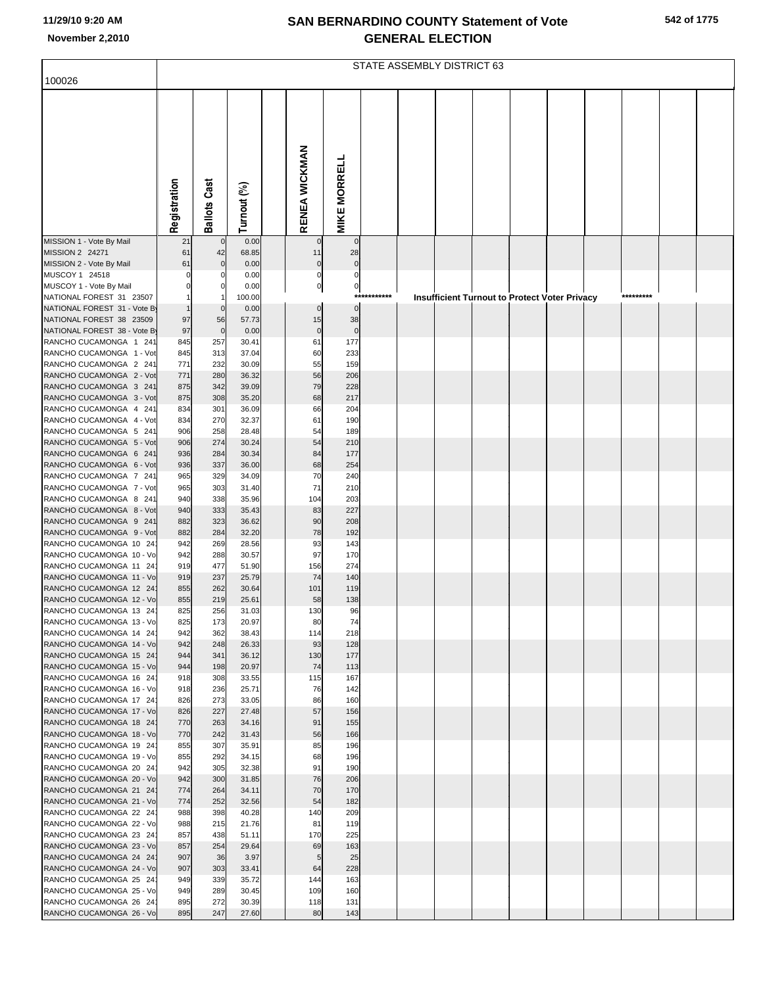|                                                          | STATE ASSEMBLY DISTRICT 63 |                     |                |  |                   |                      |         |  |  |                                               |  |  |  |           |  |  |
|----------------------------------------------------------|----------------------------|---------------------|----------------|--|-------------------|----------------------|---------|--|--|-----------------------------------------------|--|--|--|-----------|--|--|
| 100026                                                   |                            |                     |                |  |                   |                      |         |  |  |                                               |  |  |  |           |  |  |
|                                                          |                            |                     |                |  |                   |                      |         |  |  |                                               |  |  |  |           |  |  |
|                                                          |                            |                     |                |  |                   |                      |         |  |  |                                               |  |  |  |           |  |  |
|                                                          |                            |                     |                |  |                   |                      |         |  |  |                                               |  |  |  |           |  |  |
|                                                          |                            |                     |                |  |                   |                      |         |  |  |                                               |  |  |  |           |  |  |
|                                                          |                            |                     |                |  |                   |                      |         |  |  |                                               |  |  |  |           |  |  |
|                                                          |                            |                     |                |  |                   |                      |         |  |  |                                               |  |  |  |           |  |  |
|                                                          |                            |                     |                |  |                   |                      |         |  |  |                                               |  |  |  |           |  |  |
|                                                          | Registration               | <b>Ballots Cast</b> | Turnout (%)    |  | RENEA WICKMAN     | <b>MIKE MORRELL</b>  |         |  |  |                                               |  |  |  |           |  |  |
| MISSION 1 - Vote By Mail                                 | 21                         | $\mathbf 0$         | 0.00           |  | $\mathbf 0$       | $\mathbf 0$          |         |  |  |                                               |  |  |  |           |  |  |
| MISSION 2 24271<br>MISSION 2 - Vote By Mail              | 61<br>61                   | 42<br>$\mathbf{0}$  | 68.85<br>0.00  |  | 11<br>$\mathbf 0$ | 28<br>$\mathbf 0$    |         |  |  |                                               |  |  |  |           |  |  |
| MUSCOY 1 24518                                           | $\Omega$                   |                     | 0.00           |  | $\mathbf 0$       | $\Omega$             |         |  |  |                                               |  |  |  |           |  |  |
| MUSCOY 1 - Vote By Mail                                  | $\mathbf 0$                | 0                   | 0.00           |  | $\overline{0}$    | $\boldsymbol{0}$     | ******* |  |  |                                               |  |  |  | ********* |  |  |
| NATIONAL FOREST 31 23507<br>NATIONAL FOREST 31 - Vote By |                            | $\overline{0}$      | 100.00<br>0.00 |  | $\overline{0}$    | $***$<br>$\mathbf 0$ |         |  |  | Insufficient Turnout to Protect Voter Privacy |  |  |  |           |  |  |
| NATIONAL FOREST 38 23509                                 | 97                         | 56                  | 57.73          |  | 15                | 38                   |         |  |  |                                               |  |  |  |           |  |  |
| NATIONAL FOREST 38 - Vote By                             | 97                         | $\mathbf 0$         | 0.00           |  | $\mathbf 0$       | $\mathbf 0$          |         |  |  |                                               |  |  |  |           |  |  |
| RANCHO CUCAMONGA 1 241<br>RANCHO CUCAMONGA 1 - Vot       | 845<br>845                 | 257<br>313          | 30.41<br>37.04 |  | 61<br>60          | 177<br>233           |         |  |  |                                               |  |  |  |           |  |  |
| RANCHO CUCAMONGA 2 241                                   | 771                        | 232                 | 30.09          |  | 55                | 159                  |         |  |  |                                               |  |  |  |           |  |  |
| RANCHO CUCAMONGA 2 - Vot                                 | 771                        | 280                 | 36.32          |  | 56                | 206                  |         |  |  |                                               |  |  |  |           |  |  |
| RANCHO CUCAMONGA 3 241<br>RANCHO CUCAMONGA 3 - Vot       | 875<br>875                 | 342<br>308          | 39.09<br>35.20 |  | 79<br>68          | 228<br>217           |         |  |  |                                               |  |  |  |           |  |  |
| RANCHO CUCAMONGA 4 241                                   | 834                        | 301                 | 36.09          |  | 66                | 204                  |         |  |  |                                               |  |  |  |           |  |  |
| RANCHO CUCAMONGA 4 - Vot                                 | 834                        | 270                 | 32.37          |  | 61                | 190                  |         |  |  |                                               |  |  |  |           |  |  |
| RANCHO CUCAMONGA 5 241                                   | 906                        | 258<br>274          | 28.48          |  | 54<br>54          | 189<br>210           |         |  |  |                                               |  |  |  |           |  |  |
| RANCHO CUCAMONGA 5 - Vot<br>RANCHO CUCAMONGA 6 241       | 906<br>936                 | 284                 | 30.24<br>30.34 |  | 84                | 177                  |         |  |  |                                               |  |  |  |           |  |  |
| RANCHO CUCAMONGA 6 - Vot                                 | 936                        | 337                 | 36.00          |  | 68                | 254                  |         |  |  |                                               |  |  |  |           |  |  |
| RANCHO CUCAMONGA 7 241                                   | 965                        | 329                 | 34.09          |  | 70                | 240                  |         |  |  |                                               |  |  |  |           |  |  |
| RANCHO CUCAMONGA 7 - Vot<br>RANCHO CUCAMONGA 8 241       | 965<br>940                 | 303<br>338          | 31.40<br>35.96 |  | 71<br>104         | 210<br>203           |         |  |  |                                               |  |  |  |           |  |  |
| RANCHO CUCAMONGA 8 - Vot                                 | 940                        | 333                 | 35.43          |  | 83                | 227                  |         |  |  |                                               |  |  |  |           |  |  |
| RANCHO CUCAMONGA 9 241                                   | 882                        | 323                 | 36.62          |  | 90                | 208                  |         |  |  |                                               |  |  |  |           |  |  |
| RANCHO CUCAMONGA 9 - Vot<br>RANCHO CUCAMONGA 10 24       | 882<br>942                 | 284<br>269          | 32.20<br>28.56 |  | 78<br>93          | 192<br>143           |         |  |  |                                               |  |  |  |           |  |  |
| RANCHO CUCAMONGA 10 - Vo                                 | 942                        | 288                 | 30.57          |  | 97                | 170                  |         |  |  |                                               |  |  |  |           |  |  |
| RANCHO CUCAMONGA 11 24                                   | 919                        | 477                 | 51.90          |  | 156               | 274                  |         |  |  |                                               |  |  |  |           |  |  |
| RANCHO CUCAMONGA 11 - Vo<br>RANCHO CUCAMONGA 12 24       | 919<br>855                 | 237<br>262          | 25.79<br>30.64 |  | 74<br>101         | 140<br>119           |         |  |  |                                               |  |  |  |           |  |  |
| RANCHO CUCAMONGA 12 - Vo                                 | 855                        | 219                 | 25.61          |  | 58                | 138                  |         |  |  |                                               |  |  |  |           |  |  |
| RANCHO CUCAMONGA 13 24                                   | 825                        | 256                 | 31.03          |  | <b>130</b>        | 96                   |         |  |  |                                               |  |  |  |           |  |  |
| RANCHO CUCAMONGA 13 - Vo<br>RANCHO CUCAMONGA 14 24       | 825<br>942                 | 173<br>362          | 20.97<br>38.43 |  | 80<br>114         | 74<br>218            |         |  |  |                                               |  |  |  |           |  |  |
| RANCHO CUCAMONGA 14 - Vo                                 | 942                        | 248                 | 26.33          |  | 93                | 128                  |         |  |  |                                               |  |  |  |           |  |  |
| RANCHO CUCAMONGA 15 24                                   | 944                        | 341                 | 36.12          |  | 130               | 177                  |         |  |  |                                               |  |  |  |           |  |  |
| RANCHO CUCAMONGA 15 - Vo<br>RANCHO CUCAMONGA 16 24       | 944<br>918                 | 198<br>308          | 20.97<br>33.55 |  | 74<br>115         | 113<br>167           |         |  |  |                                               |  |  |  |           |  |  |
| RANCHO CUCAMONGA 16 - Vo                                 | 918                        | 236                 | 25.71          |  | 76                | 142                  |         |  |  |                                               |  |  |  |           |  |  |
| RANCHO CUCAMONGA 17 24                                   | 826                        | 273                 | 33.05          |  | 86                | 160                  |         |  |  |                                               |  |  |  |           |  |  |
| RANCHO CUCAMONGA 17 - Vo<br>RANCHO CUCAMONGA 18 24       | 826<br>770                 | 227<br>263          | 27.48<br>34.16 |  | 57<br>91          | 156<br>155           |         |  |  |                                               |  |  |  |           |  |  |
| RANCHO CUCAMONGA 18 - Vo                                 | 770                        | 242                 | 31.43          |  | 56                | 166                  |         |  |  |                                               |  |  |  |           |  |  |
| RANCHO CUCAMONGA 19 24                                   | 855                        | 307                 | 35.91          |  | 85                | 196                  |         |  |  |                                               |  |  |  |           |  |  |
| RANCHO CUCAMONGA 19 - Vo<br>RANCHO CUCAMONGA 20 24       | 855<br>942                 | 292<br>305          | 34.15<br>32.38 |  | 68<br>91          | 196<br>190           |         |  |  |                                               |  |  |  |           |  |  |
| RANCHO CUCAMONGA 20 - Vo                                 | 942                        | 300                 | 31.85          |  | 76                | 206                  |         |  |  |                                               |  |  |  |           |  |  |
| RANCHO CUCAMONGA 21 24                                   | 774                        | 264                 | 34.11          |  | 70                | 170                  |         |  |  |                                               |  |  |  |           |  |  |
| RANCHO CUCAMONGA 21 - Vo<br>RANCHO CUCAMONGA 22 24       | 774<br>988                 | 252<br>398          | 32.56<br>40.28 |  | 54<br>140         | 182<br>209           |         |  |  |                                               |  |  |  |           |  |  |
| RANCHO CUCAMONGA 22 - Vo                                 | 988                        | 215                 | 21.76          |  | 81                | 119                  |         |  |  |                                               |  |  |  |           |  |  |
| RANCHO CUCAMONGA 23 24                                   | 857                        | 438                 | 51.11          |  | 170               | 225                  |         |  |  |                                               |  |  |  |           |  |  |
| RANCHO CUCAMONGA 23 - Vo<br>RANCHO CUCAMONGA 24 24       | 857<br>907                 | 254<br>36           | 29.64<br>3.97  |  | 69<br>5           | 163<br>25            |         |  |  |                                               |  |  |  |           |  |  |
| RANCHO CUCAMONGA 24 - Vo                                 | 907                        | 303                 | 33.41          |  | 64                | 228                  |         |  |  |                                               |  |  |  |           |  |  |
| RANCHO CUCAMONGA 25 24                                   | 949                        | 339                 | 35.72          |  | 144               | 163                  |         |  |  |                                               |  |  |  |           |  |  |
| RANCHO CUCAMONGA 25 - Vo<br>RANCHO CUCAMONGA 26 24       | 949<br>895                 | 289<br>272          | 30.45<br>30.39 |  | 109<br>118        | 160<br>131           |         |  |  |                                               |  |  |  |           |  |  |
| RANCHO CUCAMONGA 26 - Vo                                 | 895                        | 247                 | 27.60          |  | 80                | 143                  |         |  |  |                                               |  |  |  |           |  |  |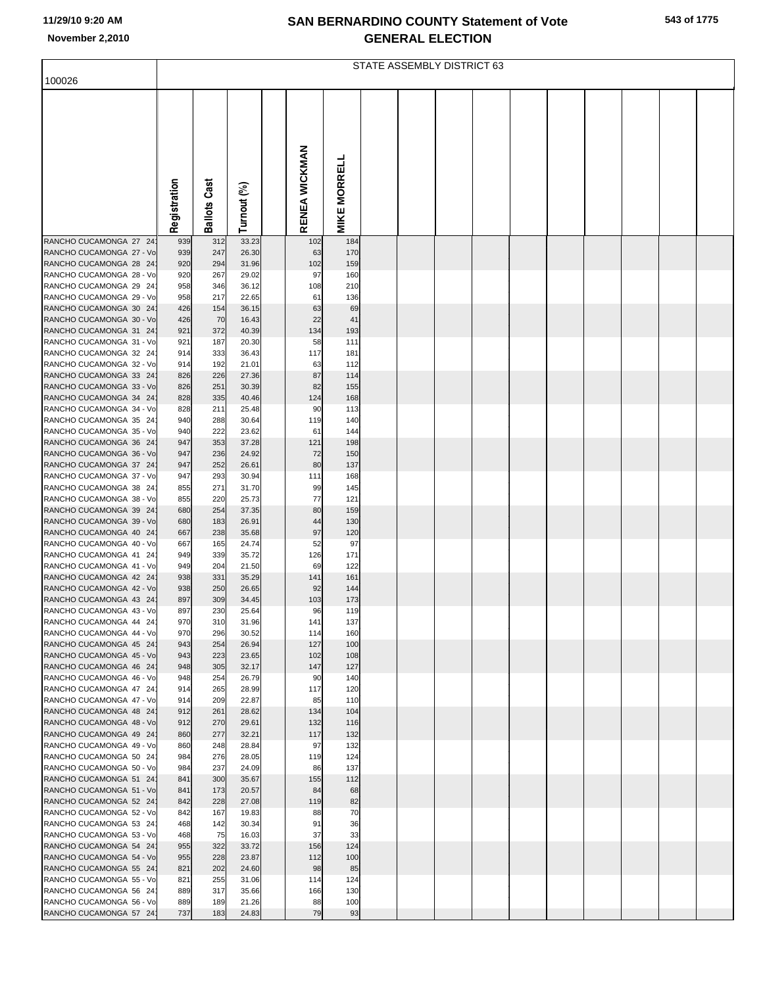|  | 543 of 1775 |
|--|-------------|
|  |             |

|                                                    | STATE ASSEMBLY DISTRICT 63 |                     |                |  |               |                     |  |  |  |  |  |  |  |  |  |
|----------------------------------------------------|----------------------------|---------------------|----------------|--|---------------|---------------------|--|--|--|--|--|--|--|--|--|
| 100026                                             |                            |                     |                |  |               |                     |  |  |  |  |  |  |  |  |  |
|                                                    |                            |                     |                |  |               |                     |  |  |  |  |  |  |  |  |  |
|                                                    |                            |                     |                |  |               |                     |  |  |  |  |  |  |  |  |  |
|                                                    |                            |                     |                |  |               |                     |  |  |  |  |  |  |  |  |  |
|                                                    |                            |                     |                |  |               |                     |  |  |  |  |  |  |  |  |  |
|                                                    |                            |                     |                |  |               |                     |  |  |  |  |  |  |  |  |  |
|                                                    |                            |                     |                |  |               |                     |  |  |  |  |  |  |  |  |  |
|                                                    |                            |                     |                |  |               |                     |  |  |  |  |  |  |  |  |  |
|                                                    |                            |                     |                |  |               |                     |  |  |  |  |  |  |  |  |  |
|                                                    | Registration               | <b>Ballots Cast</b> | Turnout (%)    |  | RENEA WICKMAN | <b>MIKE MORRELL</b> |  |  |  |  |  |  |  |  |  |
|                                                    |                            |                     |                |  |               |                     |  |  |  |  |  |  |  |  |  |
| RANCHO CUCAMONGA 27 24                             | 939                        | 312                 | 33.23          |  | 102           | 184                 |  |  |  |  |  |  |  |  |  |
| RANCHO CUCAMONGA 27 - Vo                           | 939                        | 247<br>294          | 26.30          |  | 63<br>102     | 170<br>159          |  |  |  |  |  |  |  |  |  |
| RANCHO CUCAMONGA 28 24<br>RANCHO CUCAMONGA 28 - Vo | 920<br>920                 | 267                 | 31.96<br>29.02 |  | 97            | 160                 |  |  |  |  |  |  |  |  |  |
| RANCHO CUCAMONGA 29 24                             | 958                        | 346                 | 36.12          |  | 108           | 210                 |  |  |  |  |  |  |  |  |  |
| RANCHO CUCAMONGA 29 - Vo                           | 958                        | 217                 | 22.65          |  | 61            | 136                 |  |  |  |  |  |  |  |  |  |
| RANCHO CUCAMONGA 30 24<br>RANCHO CUCAMONGA 30 - Vo | 426                        | 154<br>70           | 36.15          |  | 63<br>22      | 69                  |  |  |  |  |  |  |  |  |  |
| RANCHO CUCAMONGA 31 24                             | 426<br>921                 | 372                 | 16.43<br>40.39 |  | 134           | 41<br>193           |  |  |  |  |  |  |  |  |  |
| RANCHO CUCAMONGA 31 - Vo                           | 921                        | 187                 | 20.30          |  | 58            | 111                 |  |  |  |  |  |  |  |  |  |
| RANCHO CUCAMONGA 32 24                             | 914                        | 333                 | 36.43          |  | 117           | 181                 |  |  |  |  |  |  |  |  |  |
| RANCHO CUCAMONGA 32 - Vo                           | 914                        | 192                 | 21.01          |  | 63<br>87      | 112                 |  |  |  |  |  |  |  |  |  |
| RANCHO CUCAMONGA 33 24<br>RANCHO CUCAMONGA 33 - Vo | 826<br>826                 | 226<br>251          | 27.36<br>30.39 |  | 82            | 114<br>155          |  |  |  |  |  |  |  |  |  |
| RANCHO CUCAMONGA 34 24                             | 828                        | 335                 | 40.46          |  | 124           | 168                 |  |  |  |  |  |  |  |  |  |
| RANCHO CUCAMONGA 34 - Vo                           | 828                        | 211                 | 25.48          |  | 90            | 113                 |  |  |  |  |  |  |  |  |  |
| RANCHO CUCAMONGA 35 24                             | 940                        | 288<br>222          | 30.64          |  | 119           | 140                 |  |  |  |  |  |  |  |  |  |
| RANCHO CUCAMONGA 35 - Vo<br>RANCHO CUCAMONGA 36 24 | 940<br>947                 | 353                 | 23.62<br>37.28 |  | 61<br>121     | 144<br>198          |  |  |  |  |  |  |  |  |  |
| RANCHO CUCAMONGA 36 - Vo                           | 947                        | 236                 | 24.92          |  | 72            | 150                 |  |  |  |  |  |  |  |  |  |
| RANCHO CUCAMONGA 37 24                             | 947                        | 252                 | 26.61          |  | 80            | 137                 |  |  |  |  |  |  |  |  |  |
| RANCHO CUCAMONGA 37 - Vo                           | 947                        | 293<br>271          | 30.94          |  | 111           | 168                 |  |  |  |  |  |  |  |  |  |
| RANCHO CUCAMONGA 38 24<br>RANCHO CUCAMONGA 38 - Vo | 855<br>855                 | 220                 | 31.70<br>25.73 |  | 99<br>77      | 145<br>121          |  |  |  |  |  |  |  |  |  |
| RANCHO CUCAMONGA 39 24                             | 680                        | 254                 | 37.35          |  | 80            | 159                 |  |  |  |  |  |  |  |  |  |
| RANCHO CUCAMONGA 39 - Vo                           | 680                        | 183                 | 26.91          |  | 44            | 130                 |  |  |  |  |  |  |  |  |  |
| RANCHO CUCAMONGA 40 24<br>RANCHO CUCAMONGA 40 - Vo | 667<br>667                 | 238<br>165          | 35.68<br>24.74 |  | 97<br>52      | 120<br>97           |  |  |  |  |  |  |  |  |  |
| RANCHO CUCAMONGA 41 24                             | 949                        | 339                 | 35.72          |  | 126           | 171                 |  |  |  |  |  |  |  |  |  |
| RANCHO CUCAMONGA 41 - Vo                           | 949                        | 204                 | 21.50          |  | 69            | 122                 |  |  |  |  |  |  |  |  |  |
| RANCHO CUCAMONGA 42 24                             | 938                        | 331                 | 35.29          |  | 141           | 161                 |  |  |  |  |  |  |  |  |  |
| RANCHO CUCAMONGA 42 - Vo<br>RANCHO CUCAMONGA 43 24 | 938<br>897                 | 250<br>309          | 26.65<br>34.45 |  | 92<br>103     | 144<br>173          |  |  |  |  |  |  |  |  |  |
| RANCHO CUCAMONGA 43 - Vo                           | 897                        | 230                 | 25.64          |  | 96            | 119                 |  |  |  |  |  |  |  |  |  |
| RANCHO CUCAMONGA 44 24                             | 970                        | 310                 | 31.96          |  | 141           | 137                 |  |  |  |  |  |  |  |  |  |
| RANCHO CUCAMONGA 44 - Vo                           | 970                        | 296                 | 30.52          |  | 114           | 160                 |  |  |  |  |  |  |  |  |  |
| RANCHO CUCAMONGA 45 24<br>RANCHO CUCAMONGA 45 - Vo | 943<br>943                 | 254<br>223          | 26.94<br>23.65 |  | 127<br>102    | 100<br>108          |  |  |  |  |  |  |  |  |  |
| RANCHO CUCAMONGA 46 24                             | 948                        | 305                 | 32.17          |  | 147           | 127                 |  |  |  |  |  |  |  |  |  |
| RANCHO CUCAMONGA 46 - Vo                           | 948                        | 254                 | 26.79          |  | 90            | 140                 |  |  |  |  |  |  |  |  |  |
| RANCHO CUCAMONGA 47 24<br>RANCHO CUCAMONGA 47 - Vo | 914<br>914                 | 265<br>209          | 28.99<br>22.87 |  | 117<br>85     | 120<br>110          |  |  |  |  |  |  |  |  |  |
| RANCHO CUCAMONGA 48 24                             | 912                        | 261                 | 28.62          |  | 134           | 104                 |  |  |  |  |  |  |  |  |  |
| RANCHO CUCAMONGA 48 - Vo                           | 912                        | 270                 | 29.61          |  | 132           | 116                 |  |  |  |  |  |  |  |  |  |
| RANCHO CUCAMONGA 49 24                             | 860                        | 277                 | 32.21          |  | 117           | 132                 |  |  |  |  |  |  |  |  |  |
| RANCHO CUCAMONGA 49 - Vo<br>RANCHO CUCAMONGA 50 24 | 860<br>984                 | 248<br>276          | 28.84<br>28.05 |  | 97<br>119     | 132<br>124          |  |  |  |  |  |  |  |  |  |
| RANCHO CUCAMONGA 50 - Vo                           | 984                        | 237                 | 24.09          |  | 86            | 137                 |  |  |  |  |  |  |  |  |  |
| RANCHO CUCAMONGA 51 24                             | 841                        | 300                 | 35.67          |  | 155           | 112                 |  |  |  |  |  |  |  |  |  |
| RANCHO CUCAMONGA 51 - Vo                           | 841                        | 173                 | 20.57          |  | 84            | 68                  |  |  |  |  |  |  |  |  |  |
| RANCHO CUCAMONGA 52 24<br>RANCHO CUCAMONGA 52 - Vo | 842<br>842                 | 228<br>167          | 27.08<br>19.83 |  | 119<br>88     | 82<br>70            |  |  |  |  |  |  |  |  |  |
| RANCHO CUCAMONGA 53 24                             | 468                        | 142                 | 30.34          |  | 91            | 36                  |  |  |  |  |  |  |  |  |  |
| RANCHO CUCAMONGA 53 - Vo                           | 468                        | 75                  | 16.03          |  | 37            | 33                  |  |  |  |  |  |  |  |  |  |
| RANCHO CUCAMONGA 54 24                             | 955                        | 322                 | 33.72          |  | 156           | 124                 |  |  |  |  |  |  |  |  |  |
| RANCHO CUCAMONGA 54 - Vo<br>RANCHO CUCAMONGA 55 24 | 955<br>821                 | 228<br>202          | 23.87<br>24.60 |  | 112<br>98     | 100<br>85           |  |  |  |  |  |  |  |  |  |
| RANCHO CUCAMONGA 55 - Vo                           | 821                        | 255                 | 31.06          |  | 114           | 124                 |  |  |  |  |  |  |  |  |  |
| RANCHO CUCAMONGA 56 24                             | 889                        | 317                 | 35.66          |  | 166           | 130                 |  |  |  |  |  |  |  |  |  |
| RANCHO CUCAMONGA 56 - Vo                           | 889                        | 189                 | 21.26          |  | 88            | 100                 |  |  |  |  |  |  |  |  |  |
| RANCHO CUCAMONGA 57 24                             | 737                        | 183                 | 24.83          |  | 79            | 93                  |  |  |  |  |  |  |  |  |  |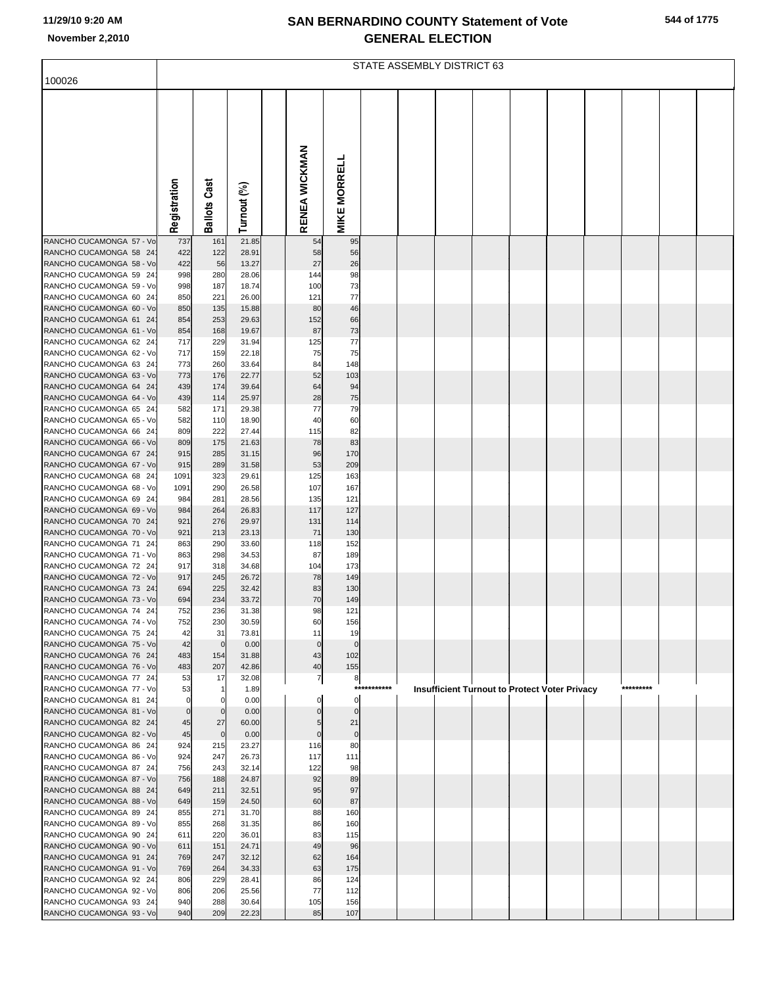| 544 of 1775 |  |  |
|-------------|--|--|
|             |  |  |

|                                                    | STATE ASSEMBLY DISTRICT 63 |                    |                |  |                   |                     |             |  |                                               |  |  |  |  |           |  |  |
|----------------------------------------------------|----------------------------|--------------------|----------------|--|-------------------|---------------------|-------------|--|-----------------------------------------------|--|--|--|--|-----------|--|--|
| 100026                                             |                            |                    |                |  |                   |                     |             |  |                                               |  |  |  |  |           |  |  |
|                                                    |                            |                    |                |  |                   |                     |             |  |                                               |  |  |  |  |           |  |  |
|                                                    |                            |                    |                |  |                   |                     |             |  |                                               |  |  |  |  |           |  |  |
|                                                    |                            |                    |                |  |                   |                     |             |  |                                               |  |  |  |  |           |  |  |
|                                                    |                            |                    |                |  |                   |                     |             |  |                                               |  |  |  |  |           |  |  |
|                                                    |                            |                    |                |  |                   |                     |             |  |                                               |  |  |  |  |           |  |  |
|                                                    |                            | Cast               |                |  |                   |                     |             |  |                                               |  |  |  |  |           |  |  |
|                                                    |                            |                    |                |  | ENEA WICKMAN      |                     |             |  |                                               |  |  |  |  |           |  |  |
|                                                    | Registration               | Ballots            | Turnout (%)    |  |                   | <b>MIKE MORRELL</b> |             |  |                                               |  |  |  |  |           |  |  |
| RANCHO CUCAMONGA 57 - Vo                           | 737                        | 161                | 21.85          |  | ∝<br>54           | 95                  |             |  |                                               |  |  |  |  |           |  |  |
| RANCHO CUCAMONGA 58 24                             | 422                        | 122                | 28.91          |  | 58                | 56                  |             |  |                                               |  |  |  |  |           |  |  |
| RANCHO CUCAMONGA 58 - Vo<br>RANCHO CUCAMONGA 59 24 | 422<br>998                 | 56<br>280          | 13.27<br>28.06 |  | 27<br>144         | 26<br>98            |             |  |                                               |  |  |  |  |           |  |  |
| RANCHO CUCAMONGA 59 - Vo                           | 998                        | 187                | 18.74          |  | 100               | 73                  |             |  |                                               |  |  |  |  |           |  |  |
| RANCHO CUCAMONGA 60 24<br>RANCHO CUCAMONGA 60 - Vo | 850<br>850                 | 221<br>135         | 26.00<br>15.88 |  | 121<br>80         | 77<br>46            |             |  |                                               |  |  |  |  |           |  |  |
| RANCHO CUCAMONGA 61 24                             | 854                        | 253                | 29.63          |  | 152               | 66                  |             |  |                                               |  |  |  |  |           |  |  |
| RANCHO CUCAMONGA 61 - Vo                           | 854                        | 168                | 19.67          |  | 87                | 73                  |             |  |                                               |  |  |  |  |           |  |  |
| RANCHO CUCAMONGA 62 24<br>RANCHO CUCAMONGA 62 - Vo | 717<br>717                 | 229<br>159         | 31.94<br>22.18 |  | 125<br>75         | 77<br>75            |             |  |                                               |  |  |  |  |           |  |  |
| RANCHO CUCAMONGA 63 24                             | 773                        | 260                | 33.64          |  | 84                | 148                 |             |  |                                               |  |  |  |  |           |  |  |
| RANCHO CUCAMONGA 63 - Vo<br>RANCHO CUCAMONGA 64 24 | 773<br>439                 | 176<br>174         | 22.77<br>39.64 |  | 52<br>64          | 103<br>94           |             |  |                                               |  |  |  |  |           |  |  |
| RANCHO CUCAMONGA 64 - Vo                           | 439                        | 114                | 25.97          |  | 28                | 75                  |             |  |                                               |  |  |  |  |           |  |  |
| RANCHO CUCAMONGA 65 24                             | 582                        | 171                | 29.38          |  | 77                | 79                  |             |  |                                               |  |  |  |  |           |  |  |
| RANCHO CUCAMONGA 65 - Vo<br>RANCHO CUCAMONGA 66 24 | 582<br>809                 | 110<br>222         | 18.90<br>27.44 |  | 40<br>115         | 60<br>82            |             |  |                                               |  |  |  |  |           |  |  |
| RANCHO CUCAMONGA 66 - Vo                           | 809                        | 175                | 21.63          |  | 78                | 83                  |             |  |                                               |  |  |  |  |           |  |  |
| RANCHO CUCAMONGA 67 24<br>RANCHO CUCAMONGA 67 - Vo | 915<br>915                 | 285<br>289         | 31.15<br>31.58 |  | 96<br>53          | 170<br>209          |             |  |                                               |  |  |  |  |           |  |  |
| RANCHO CUCAMONGA 68 24                             | 1091                       | 323                | 29.61          |  | 125               | 163                 |             |  |                                               |  |  |  |  |           |  |  |
| RANCHO CUCAMONGA 68 - Vo                           | 1091                       | 290                | 26.58          |  | 107               | 167                 |             |  |                                               |  |  |  |  |           |  |  |
| RANCHO CUCAMONGA 69 24<br>RANCHO CUCAMONGA 69 - Vo | 984<br>984                 | 281<br>264         | 28.56<br>26.83 |  | 135<br>117        | 121<br>127          |             |  |                                               |  |  |  |  |           |  |  |
| RANCHO CUCAMONGA 70 24                             | 921                        | 276                | 29.97          |  | 131               | 114                 |             |  |                                               |  |  |  |  |           |  |  |
| RANCHO CUCAMONGA 70 - Vo<br>RANCHO CUCAMONGA 71 24 | 921<br>863                 | 213<br>290         | 23.13<br>33.60 |  | 71<br>118         | 130<br>152          |             |  |                                               |  |  |  |  |           |  |  |
| RANCHO CUCAMONGA 71 - Vo                           | 863                        | 298                | 34.53          |  | 87                | 189                 |             |  |                                               |  |  |  |  |           |  |  |
| RANCHO CUCAMONGA 72 24<br>RANCHO CUCAMONGA 72 - Vo | 917                        | 318                | 34.68<br>26.72 |  | 104<br>78         | 173<br>149          |             |  |                                               |  |  |  |  |           |  |  |
| RANCHO CUCAMONGA 73 24                             | 917<br>694                 | 245<br>225         | 32.42          |  | 83                | 130                 |             |  |                                               |  |  |  |  |           |  |  |
| RANCHO CUCAMONGA 73 - Vo                           | 694                        | 234                | 33.72          |  | 70                | 149                 |             |  |                                               |  |  |  |  |           |  |  |
| RANCHO CUCAMONGA 74 24<br>RANCHO CUCAMONGA 74 - Vo | 752<br>752                 | 236<br>230         | 31.38<br>30.59 |  | 98<br>60          | 121<br>156          |             |  |                                               |  |  |  |  |           |  |  |
| RANCHO CUCAMONGA 75 24                             | 42                         | 31                 | 73.81          |  | 11                | 19                  |             |  |                                               |  |  |  |  |           |  |  |
| RANCHO CUCAMONGA 75 - Vo<br>RANCHO CUCAMONGA 76 24 | 42<br>483                  | $\mathbf 0$<br>154 | 0.00<br>31.88  |  | $\mathbf 0$<br>43 | $\mathbf 0$<br>102  |             |  |                                               |  |  |  |  |           |  |  |
| RANCHO CUCAMONGA 76 - Vo                           | 483                        | 207                | 42.86          |  | 40                | 155                 |             |  |                                               |  |  |  |  |           |  |  |
| RANCHO CUCAMONGA 77 24<br>RANCHO CUCAMONGA 77 - Vo | 53                         | 17                 | 32.08          |  | $\overline{7}$    | 8                   | *********** |  |                                               |  |  |  |  | ********* |  |  |
| RANCHO CUCAMONGA 81 24                             | 53<br>$\mathbf 0$          |                    | 1.89<br>0.00   |  |                   | $\mathbf 0$         |             |  | Insufficient Turnout to Protect Voter Privacy |  |  |  |  |           |  |  |
| RANCHO CUCAMONGA 81 - Vo                           | $\overline{0}$             | $\mathbf 0$        | 0.00           |  |                   | $\mathbf 0$         |             |  |                                               |  |  |  |  |           |  |  |
| RANCHO CUCAMONGA 82 24<br>RANCHO CUCAMONGA 82 - Vo | 45<br>45                   | 27<br>$\mathbf 0$  | 60.00<br>0.00  |  | $\mathbf 0$       | 21<br>$\pmb{0}$     |             |  |                                               |  |  |  |  |           |  |  |
| RANCHO CUCAMONGA 86 24                             | 924                        | 215                | 23.27          |  | 116               | 80                  |             |  |                                               |  |  |  |  |           |  |  |
| RANCHO CUCAMONGA 86 - Vo<br>RANCHO CUCAMONGA 87 24 | 924<br>756                 | 247<br>243         | 26.73<br>32.14 |  | 117<br>122        | 111<br>98           |             |  |                                               |  |  |  |  |           |  |  |
| RANCHO CUCAMONGA 87 - Vo                           | 756                        | 188                | 24.87          |  | 92                | 89                  |             |  |                                               |  |  |  |  |           |  |  |
| RANCHO CUCAMONGA 88 24                             | 649                        | 211                | 32.51          |  | 95                | 97                  |             |  |                                               |  |  |  |  |           |  |  |
| RANCHO CUCAMONGA 88 - Vo<br>RANCHO CUCAMONGA 89 24 | 649<br>855                 | 159<br>271         | 24.50<br>31.70 |  | 60<br>88          | 87<br>160           |             |  |                                               |  |  |  |  |           |  |  |
| RANCHO CUCAMONGA 89 - Vo                           | 855                        | 268                | 31.35          |  | 86                | 160                 |             |  |                                               |  |  |  |  |           |  |  |
| RANCHO CUCAMONGA 90 24<br>RANCHO CUCAMONGA 90 - Vo | 611<br>611                 | 220<br>151         | 36.01<br>24.71 |  | 83<br>49          | 115<br>96           |             |  |                                               |  |  |  |  |           |  |  |
| RANCHO CUCAMONGA 91 24                             | 769                        | 247                | 32.12          |  | 62                | 164                 |             |  |                                               |  |  |  |  |           |  |  |
| RANCHO CUCAMONGA 91 - Vo<br>RANCHO CUCAMONGA 92 24 | 769<br>806                 | 264<br>229         | 34.33<br>28.41 |  | 63<br>86          | 175<br>124          |             |  |                                               |  |  |  |  |           |  |  |
| RANCHO CUCAMONGA 92 - Vo                           | 806                        | 206                | 25.56          |  | 77                | 112                 |             |  |                                               |  |  |  |  |           |  |  |
| RANCHO CUCAMONGA 93 24                             | 940                        | 288                | 30.64          |  | 105               | 156                 |             |  |                                               |  |  |  |  |           |  |  |
| RANCHO CUCAMONGA 93 - Vo                           | 940                        | 209                | 22.23          |  | 85                | 107                 |             |  |                                               |  |  |  |  |           |  |  |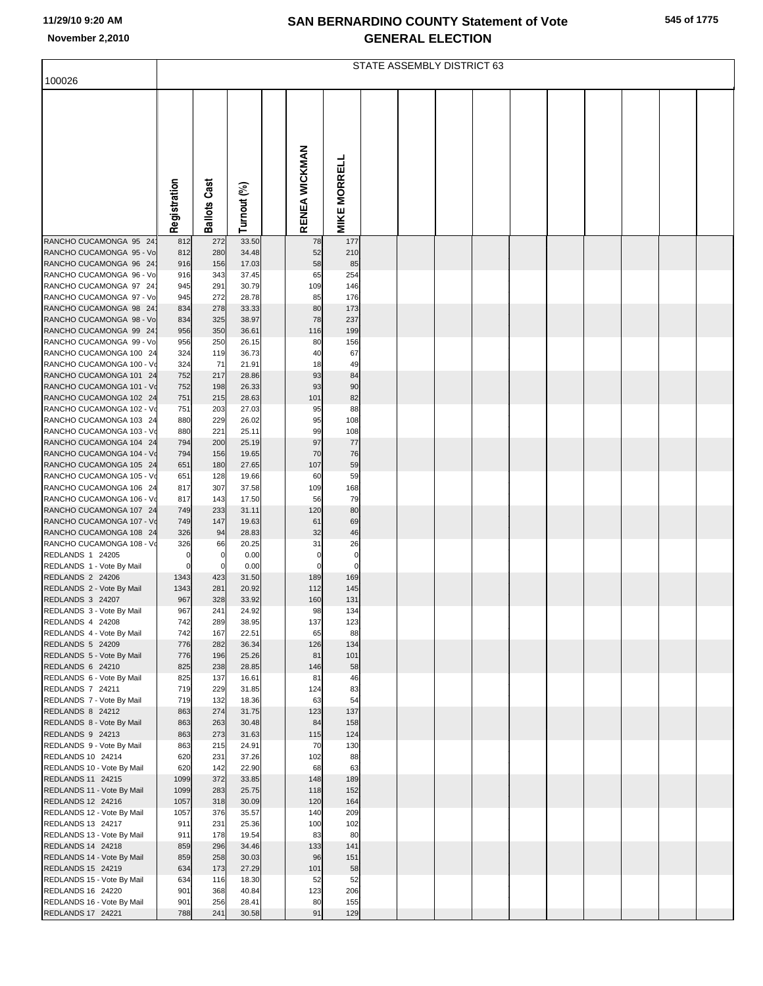|                                                      |              |                     |                |               |                     | STATE ASSEMBLY DISTRICT 63 |  |  |  |  |
|------------------------------------------------------|--------------|---------------------|----------------|---------------|---------------------|----------------------------|--|--|--|--|
| 100026                                               |              |                     |                |               |                     |                            |  |  |  |  |
|                                                      | Registration | <b>Ballots Cast</b> | Turnout (%)    | RENEA WICKMAN | <b>MIKE MORRELL</b> |                            |  |  |  |  |
| RANCHO CUCAMONGA 95 24                               | 812          | 272                 | 33.50          | 78            | 177                 |                            |  |  |  |  |
| RANCHO CUCAMONGA 95 - Vo                             | 812          | 280                 | 34.48          | 52            | 210                 |                            |  |  |  |  |
| RANCHO CUCAMONGA 96 24                               | 916          | 156                 | 17.03          | 58            | 85                  |                            |  |  |  |  |
| RANCHO CUCAMONGA 96 - Vo<br>RANCHO CUCAMONGA 97 24   | 916<br>945   | 343<br>291          | 37.45<br>30.79 | 65<br>109     | 254<br>146          |                            |  |  |  |  |
| RANCHO CUCAMONGA 97 - Vo                             | 945          | 272                 | 28.78          | 85            | 176                 |                            |  |  |  |  |
| RANCHO CUCAMONGA 98 24                               | 834          | 278                 | 33.33          | 80            | 173                 |                            |  |  |  |  |
| RANCHO CUCAMONGA 98 - Vo                             | 834          | 325                 | 38.97          | 78            | 237                 |                            |  |  |  |  |
| RANCHO CUCAMONGA 99 24                               | 956          | 350                 | 36.61          | 116           | 199                 |                            |  |  |  |  |
| RANCHO CUCAMONGA 99 - Vo<br>RANCHO CUCAMONGA 100 24  | 956<br>324   | 250<br>119          | 26.15<br>36.73 | 80<br>40      | 156<br>67           |                            |  |  |  |  |
| RANCHO CUCAMONGA 100 - Vo                            | 324          | 71                  | 21.91          | 18            | 49                  |                            |  |  |  |  |
| RANCHO CUCAMONGA 101 24                              | 752          | 217                 | 28.86          | 93            | 84                  |                            |  |  |  |  |
| RANCHO CUCAMONGA 101 - Vo                            | 752          | 198                 | 26.33          | 93            | 90                  |                            |  |  |  |  |
| RANCHO CUCAMONGA 102 24                              | 751          | 215                 | 28.63          | 101           | 82                  |                            |  |  |  |  |
| RANCHO CUCAMONGA 102 - Vo<br>RANCHO CUCAMONGA 103 24 | 751<br>880   | 203<br>229          | 27.03<br>26.02 | 95<br>95      | 88<br>108           |                            |  |  |  |  |
| RANCHO CUCAMONGA 103 - Vo                            | 880          | 221                 | 25.11          | 99            | 108                 |                            |  |  |  |  |
| RANCHO CUCAMONGA 104 24                              | 794          | 200                 | 25.19          | 97            | 77                  |                            |  |  |  |  |
| RANCHO CUCAMONGA 104 - Vo                            | 794          | 156                 | 19.65          | 70            | 76                  |                            |  |  |  |  |
| RANCHO CUCAMONGA 105 24                              | 651          | 180                 | 27.65          | 107           | 59                  |                            |  |  |  |  |
| RANCHO CUCAMONGA 105 - Vo<br>RANCHO CUCAMONGA 106 24 | 651<br>817   | 128<br>307          | 19.66<br>37.58 | 60<br>109     | 59<br>168           |                            |  |  |  |  |
| RANCHO CUCAMONGA 106 - Vo                            | 817          | 143                 | 17.50          | 56            | 79                  |                            |  |  |  |  |
| RANCHO CUCAMONGA 107 24                              | 749          | 233                 | 31.11          | 120           | 80                  |                            |  |  |  |  |
| RANCHO CUCAMONGA 107 - Vo                            | 749          | 147                 | 19.63          | 61            | 69                  |                            |  |  |  |  |
| RANCHO CUCAMONGA 108 24<br>RANCHO CUCAMONGA 108 - Vo | 326<br>326   | 94<br>66            | 28.83<br>20.25 | 32<br>31      | 46<br>26            |                            |  |  |  |  |
| REDLANDS 1 24205                                     | $\mathbf 0$  | 0                   | 0.00           | $\mathbf 0$   | $\mathbf 0$         |                            |  |  |  |  |
| REDLANDS 1 - Vote By Mail                            | $\pmb{0}$    | $\mathbf 0$         | 0.00           | $\mathbf 0$   | $\mathbf 0$         |                            |  |  |  |  |
| REDLANDS 2 24206                                     | 1343         | 423                 | 31.50          | 189           | 169                 |                            |  |  |  |  |
| REDLANDS 2 - Vote By Mail<br>REDLANDS 3 24207        | 1343<br>967  | 281<br>328          | 20.92<br>33.92 | 112<br>160    | 145<br>131          |                            |  |  |  |  |
| REDLANDS 3 - Vote By Mail                            | 967          | 241                 | 24.92          | 98            | 134                 |                            |  |  |  |  |
| REDLANDS 4 24208                                     | 742          | 289                 | 38.95          | 137           | 123                 |                            |  |  |  |  |
| REDLANDS 4 - Vote By Mail                            | 742          | 167                 | 22.51          | 65            | 88                  |                            |  |  |  |  |
| REDLANDS 5 24209                                     | 776          | 282                 | 36.34          | 126           | 134                 |                            |  |  |  |  |
| REDLANDS 5 - Vote By Mail<br>REDLANDS 6 24210        | 776<br>825   | 196<br>238          | 25.26<br>28.85 | 81<br>146     | 101<br>58           |                            |  |  |  |  |
| REDLANDS 6 - Vote By Mail                            | 825          | 137                 | 16.61          | 81            | 46                  |                            |  |  |  |  |
| REDLANDS 7 24211                                     | 719          | 229                 | 31.85          | 124           | 83                  |                            |  |  |  |  |
| REDLANDS 7 - Vote By Mail                            | 719          | 132                 | 18.36          | 63            | 54                  |                            |  |  |  |  |
| REDLANDS 8 24212<br>REDLANDS 8 - Vote By Mail        | 863<br>863   | 274<br>263          | 31.75<br>30.48 | 123<br>84     | 137<br>158          |                            |  |  |  |  |
| REDLANDS 9 24213                                     | 863          | 273                 | 31.63          | 115           | 124                 |                            |  |  |  |  |
| REDLANDS 9 - Vote By Mail                            | 863          | 215                 | 24.91          | 70            | 130                 |                            |  |  |  |  |
| REDLANDS 10 24214                                    | 620          | 231                 | 37.26          | 102           | 88                  |                            |  |  |  |  |
| REDLANDS 10 - Vote By Mail<br>REDLANDS 11 24215      | 620<br>1099  | 142<br>372          | 22.90<br>33.85 | 68<br>148     | 63<br>189           |                            |  |  |  |  |
| REDLANDS 11 - Vote By Mail                           | 1099         | 283                 | 25.75          | 118           | 152                 |                            |  |  |  |  |
| REDLANDS 12 24216                                    | 1057         | 318                 | 30.09          | 120           | 164                 |                            |  |  |  |  |
| REDLANDS 12 - Vote By Mail                           | 1057         | 376                 | 35.57          | 140           | 209                 |                            |  |  |  |  |
| REDLANDS 13 24217                                    | 911          | 231                 | 25.36          | 100           | 102                 |                            |  |  |  |  |
| REDLANDS 13 - Vote By Mail<br>REDLANDS 14 24218      | 911<br>859   | 178<br>296          | 19.54<br>34.46 | 83<br>133     | 80<br>141           |                            |  |  |  |  |
| REDLANDS 14 - Vote By Mail                           | 859          | 258                 | 30.03          | 96            | 151                 |                            |  |  |  |  |
| REDLANDS 15 24219                                    | 634          | 173                 | 27.29          | 101           | 58                  |                            |  |  |  |  |
| REDLANDS 15 - Vote By Mail                           | 634          | 116                 | 18.30          | 52            | 52                  |                            |  |  |  |  |
| REDLANDS 16 24220                                    | 901          | 368                 | 40.84          | 123           | 206                 |                            |  |  |  |  |
| REDLANDS 16 - Vote By Mail<br>REDLANDS 17 24221      | 901<br>788   | 256<br>241          | 28.41<br>30.58 | 80<br>91      | 155<br>129          |                            |  |  |  |  |
|                                                      |              |                     |                |               |                     |                            |  |  |  |  |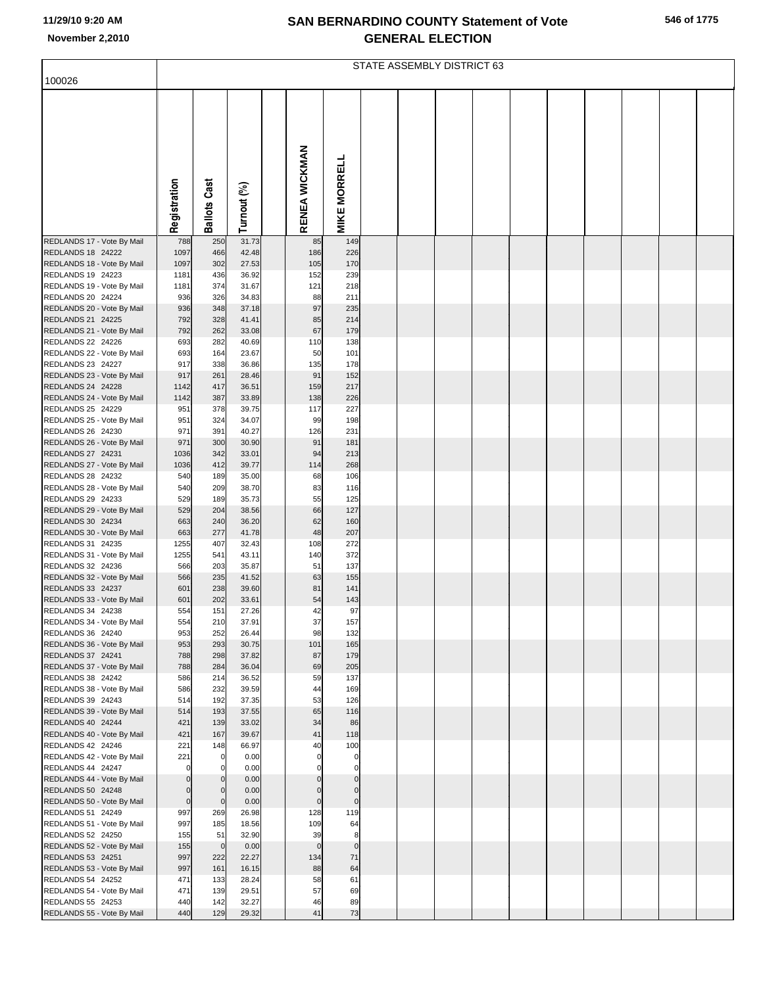|  | 546 of 1775 |
|--|-------------|
|  |             |

|                                                                                                                                                                                     |                                                   |                                               |                                                             |                                            |                                               | STATE ASSEMBLY DISTRICT 63 |  |  |  |  |
|-------------------------------------------------------------------------------------------------------------------------------------------------------------------------------------|---------------------------------------------------|-----------------------------------------------|-------------------------------------------------------------|--------------------------------------------|-----------------------------------------------|----------------------------|--|--|--|--|
| 100026                                                                                                                                                                              |                                                   |                                               |                                                             |                                            |                                               |                            |  |  |  |  |
|                                                                                                                                                                                     | Registration                                      | <b>Ballots Cast</b>                           | Turnout (%)                                                 | RENEA WICKMAN                              | <b>MIKE MORRELL</b>                           |                            |  |  |  |  |
|                                                                                                                                                                                     |                                                   |                                               |                                                             |                                            |                                               |                            |  |  |  |  |
| REDLANDS 17 - Vote By Mail<br>REDLANDS 18 24222<br>REDLANDS 18 - Vote By Mail<br>REDLANDS 19 24223<br>REDLANDS 19 - Vote By Mail<br>REDLANDS 20 24224<br>REDLANDS 20 - Vote By Mail | 788<br>1097<br>1097<br>1181<br>1181<br>936<br>936 | 250<br>466<br>302<br>436<br>374<br>326<br>348 | 31.73<br>42.48<br>27.53<br>36.92<br>31.67<br>34.83<br>37.18 | 85<br>186<br>105<br>152<br>121<br>88<br>97 | 149<br>226<br>170<br>239<br>218<br>211<br>235 |                            |  |  |  |  |
| REDLANDS 21 24225                                                                                                                                                                   | 792                                               | 328                                           | 41.41                                                       | 85                                         | 214                                           |                            |  |  |  |  |
| REDLANDS 21 - Vote By Mail<br>REDLANDS 22 24226                                                                                                                                     | 792<br>693                                        | 262<br>282                                    | 33.08<br>40.69                                              | 67<br>110                                  | 179<br>138                                    |                            |  |  |  |  |
| REDLANDS 22 - Vote By Mail                                                                                                                                                          | 693                                               | 164                                           | 23.67                                                       | 50                                         | 101                                           |                            |  |  |  |  |
| REDLANDS 23 24227<br>REDLANDS 23 - Vote By Mail                                                                                                                                     | 917<br>917                                        | 338<br>261                                    | 36.86<br>28.46                                              | 135<br>91                                  | 178<br>152                                    |                            |  |  |  |  |
| REDLANDS 24 24228                                                                                                                                                                   | 1142                                              | 417                                           | 36.51                                                       | 159                                        | 217                                           |                            |  |  |  |  |
| REDLANDS 24 - Vote By Mail                                                                                                                                                          | 1142                                              | 387                                           | 33.89                                                       | 138                                        | 226                                           |                            |  |  |  |  |
| REDLANDS 25 24229<br>REDLANDS 25 - Vote By Mail                                                                                                                                     | 951<br>951                                        | 378<br>324                                    | 39.75<br>34.07                                              | 117<br>99                                  | 227<br>198                                    |                            |  |  |  |  |
| REDLANDS 26 24230                                                                                                                                                                   | 971                                               | 391                                           | 40.27                                                       | 126                                        | 231                                           |                            |  |  |  |  |
| REDLANDS 26 - Vote By Mail<br>REDLANDS 27 24231                                                                                                                                     | 971<br>1036                                       | 300<br>342                                    | 30.90<br>33.01                                              | 91<br>94                                   | 181<br>213                                    |                            |  |  |  |  |
| REDLANDS 27 - Vote By Mail                                                                                                                                                          | 1036                                              | 412                                           | 39.77                                                       | 114                                        | 268                                           |                            |  |  |  |  |
| REDLANDS 28 24232                                                                                                                                                                   | 540<br>540                                        | 189<br>209                                    | 35.00<br>38.70                                              | 68<br>83                                   | 106<br>116                                    |                            |  |  |  |  |
| REDLANDS 28 - Vote By Mail<br>REDLANDS 29 24233                                                                                                                                     | 529                                               | 189                                           | 35.73                                                       | 55                                         | 125                                           |                            |  |  |  |  |
| REDLANDS 29 - Vote By Mail                                                                                                                                                          | 529                                               | 204                                           | 38.56                                                       | 66                                         | 127                                           |                            |  |  |  |  |
| REDLANDS 30 24234<br>REDLANDS 30 - Vote By Mail                                                                                                                                     | 663<br>663                                        | 240<br>277                                    | 36.20<br>41.78                                              | 62<br>48                                   | 160<br>207                                    |                            |  |  |  |  |
| REDLANDS 31 24235                                                                                                                                                                   | 1255                                              | 407                                           | 32.43                                                       | 108                                        | 272                                           |                            |  |  |  |  |
| REDLANDS 31 - Vote By Mail<br>REDLANDS 32 24236                                                                                                                                     | 1255<br>566                                       | 541<br>203                                    | 43.11<br>35.87                                              | 140<br>51                                  | 372<br>137                                    |                            |  |  |  |  |
| REDLANDS 32 - Vote By Mail                                                                                                                                                          | 566                                               | 235                                           | 41.52                                                       | 63                                         | 155                                           |                            |  |  |  |  |
| REDLANDS 33 24237                                                                                                                                                                   | 601                                               | 238                                           | 39.60                                                       | 81                                         | 141                                           |                            |  |  |  |  |
| REDLANDS 33 - Vote By Mail<br>REDLANDS 34 24238                                                                                                                                     | 601<br>554                                        | 202<br>151                                    | 33.61<br>27.26                                              | 54<br>42                                   | 143<br>97                                     |                            |  |  |  |  |
| REDLANDS 34 - Vote By Mail                                                                                                                                                          | 554                                               | 210                                           | 37.91                                                       | 37                                         | 157                                           |                            |  |  |  |  |
| REDLANDS 36 24240<br>REDLANDS 36 - Vote By Mail                                                                                                                                     | 953<br>953                                        | 252<br>293                                    | 26.44<br>30.75                                              | 98<br>101                                  | 132<br>165                                    |                            |  |  |  |  |
| REDLANDS 37 24241                                                                                                                                                                   | 788                                               | 298                                           | 37.82                                                       | 87                                         | 179                                           |                            |  |  |  |  |
| REDLANDS 37 - Vote By Mail<br>REDLANDS 38 24242                                                                                                                                     | 788<br>586                                        | 284<br>214                                    | 36.04<br>36.52                                              | 69<br>59                                   | 205<br>137                                    |                            |  |  |  |  |
| REDLANDS 38 - Vote By Mail                                                                                                                                                          | 586                                               | 232                                           | 39.59                                                       | 44                                         | 169                                           |                            |  |  |  |  |
| REDLANDS 39 24243                                                                                                                                                                   | 514                                               | 192<br>193                                    | 37.35                                                       | 53                                         | 126                                           |                            |  |  |  |  |
| REDLANDS 39 - Vote By Mail<br>REDLANDS 40 24244                                                                                                                                     | 514<br>421                                        | 139                                           | 37.55<br>33.02                                              | 65<br>34                                   | 116<br>86                                     |                            |  |  |  |  |
| REDLANDS 40 - Vote By Mail                                                                                                                                                          | 421                                               | 167                                           | 39.67                                                       | 41                                         | 118                                           |                            |  |  |  |  |
| REDLANDS 42 24246<br>REDLANDS 42 - Vote By Mail                                                                                                                                     | 221<br>221                                        | 148<br>$\Omega$                               | 66.97<br>0.00                                               | 40<br>$\Omega$                             | 100<br>0                                      |                            |  |  |  |  |
| REDLANDS 44 24247                                                                                                                                                                   | $\mathbf 0$                                       | $\Omega$                                      | 0.00                                                        |                                            | 0                                             |                            |  |  |  |  |
| REDLANDS 44 - Vote By Mail<br>REDLANDS 50 24248                                                                                                                                     | $\mathbf 0$<br>$\mathbf 0$                        | $\mathbf{0}$<br>$\Omega$                      | 0.00<br>0.00                                                | $\mathbf 0$<br>$\mathbf 0$                 | $\pmb{0}$<br>$\pmb{0}$                        |                            |  |  |  |  |
| REDLANDS 50 - Vote By Mail                                                                                                                                                          | $\pmb{0}$                                         | $\mathbf 0$                                   | 0.00                                                        | $\pmb{0}$                                  | $\pmb{0}$                                     |                            |  |  |  |  |
| REDLANDS 51 24249                                                                                                                                                                   | 997                                               | 269                                           | 26.98                                                       | 128                                        | 119                                           |                            |  |  |  |  |
| REDLANDS 51 - Vote By Mail<br>REDLANDS 52 24250                                                                                                                                     | 997<br>155                                        | 185<br>51                                     | 18.56<br>32.90                                              | 109<br>39                                  | 64<br>8                                       |                            |  |  |  |  |
| REDLANDS 52 - Vote By Mail                                                                                                                                                          | 155                                               | $\overline{0}$                                | 0.00                                                        | $\mathbf 0$                                | $\pmb{0}$                                     |                            |  |  |  |  |
| REDLANDS 53 24251<br>REDLANDS 53 - Vote By Mail                                                                                                                                     | 997<br>997                                        | 222<br>161                                    | 22.27<br>16.15                                              | 134<br>88                                  | 71<br>64                                      |                            |  |  |  |  |
| REDLANDS 54 24252                                                                                                                                                                   | 471                                               | 133                                           | 28.24                                                       | 58                                         | 61                                            |                            |  |  |  |  |
| REDLANDS 54 - Vote By Mail<br>REDLANDS 55 24253                                                                                                                                     | 471<br>440                                        | 139<br>142                                    | 29.51<br>32.27                                              | 57<br>46                                   | 69<br>89                                      |                            |  |  |  |  |
| REDLANDS 55 - Vote By Mail                                                                                                                                                          | 440                                               | 129                                           | 29.32                                                       | 41                                         | 73                                            |                            |  |  |  |  |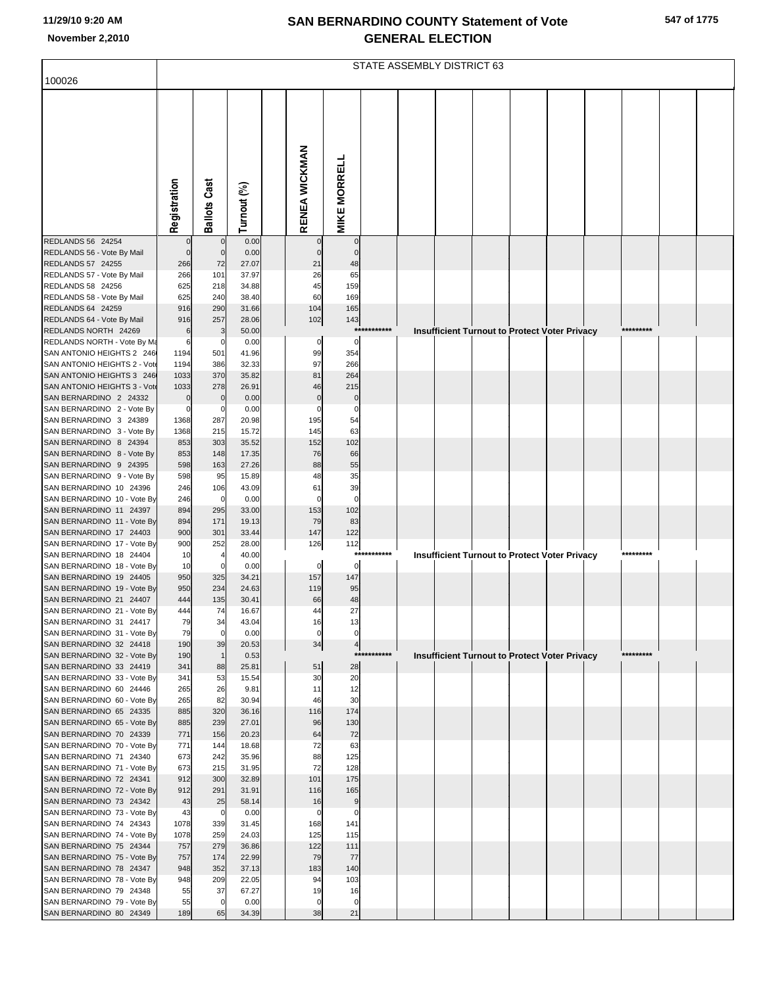|  | 547 of 1775 |  |
|--|-------------|--|
|  |             |  |

|                                                           |                       |                     |                |                              |                     |             | STATE ASSEMBLY DISTRICT 63 |  |                                                      |  |           |  |
|-----------------------------------------------------------|-----------------------|---------------------|----------------|------------------------------|---------------------|-------------|----------------------------|--|------------------------------------------------------|--|-----------|--|
| 100026                                                    |                       |                     |                |                              |                     |             |                            |  |                                                      |  |           |  |
|                                                           |                       |                     |                |                              |                     |             |                            |  |                                                      |  |           |  |
|                                                           |                       |                     |                |                              |                     |             |                            |  |                                                      |  |           |  |
|                                                           |                       |                     |                |                              |                     |             |                            |  |                                                      |  |           |  |
|                                                           |                       |                     |                |                              |                     |             |                            |  |                                                      |  |           |  |
|                                                           |                       |                     |                |                              |                     |             |                            |  |                                                      |  |           |  |
|                                                           |                       |                     |                |                              |                     |             |                            |  |                                                      |  |           |  |
|                                                           |                       |                     |                |                              |                     |             |                            |  |                                                      |  |           |  |
|                                                           |                       |                     |                |                              |                     |             |                            |  |                                                      |  |           |  |
|                                                           | Registration          | <b>Ballots Cast</b> | Turnout (%)    | RENEA WICKMAN                | <b>MIKE MORRELL</b> |             |                            |  |                                                      |  |           |  |
| REDLANDS 56 24254                                         |                       | $\mathbf 0$         | 0.00           |                              | $\mathbf 0$         |             |                            |  |                                                      |  |           |  |
| REDLANDS 56 - Vote By Mail                                | $\mathbf 0$           | $\mathbf 0$         | 0.00           |                              | $\Omega$            |             |                            |  |                                                      |  |           |  |
| REDLANDS 57 24255                                         | 266                   | 72                  | 27.07          | 21                           | 48                  |             |                            |  |                                                      |  |           |  |
| REDLANDS 57 - Vote By Mail<br>REDLANDS 58 24256           | 266<br>625            | 101<br>218          | 37.97<br>34.88 | 26<br>45                     | 65<br>159           |             |                            |  |                                                      |  |           |  |
| REDLANDS 58 - Vote By Mail                                | 625                   | 240                 | 38.40          | 60                           | 169                 |             |                            |  |                                                      |  |           |  |
| REDLANDS 64 24259                                         | 916                   | 290                 | 31.66          | 104                          | 165                 |             |                            |  |                                                      |  |           |  |
| REDLANDS 64 - Vote By Mail<br>REDLANDS NORTH 24269        | 916                   | 257                 | 28.06          | 102                          | 143                 | *********** |                            |  |                                                      |  | ********  |  |
| REDLANDS NORTH - Vote By Ma                               | 6<br>6                | 3<br>0              | 50.00<br>0.00  | 0                            | 0                   |             |                            |  | <b>Insufficient Turnout to Protect Voter Privacy</b> |  |           |  |
| SAN ANTONIO HEIGHTS 2 246                                 | 1194                  | 501                 | 41.96          | 99                           | 354                 |             |                            |  |                                                      |  |           |  |
| SAN ANTONIO HEIGHTS 2 - Vot                               | 1194                  | 386                 | 32.33          | 97                           | 266                 |             |                            |  |                                                      |  |           |  |
| SAN ANTONIO HEIGHTS 3 246<br>SAN ANTONIO HEIGHTS 3 - Vote | 1033<br>1033          | 370<br>278          | 35.82<br>26.91 | 81<br>46                     | 264<br>215          |             |                            |  |                                                      |  |           |  |
| SAN BERNARDINO 2 24332                                    | 0                     | $\mathbf 0$         | 0.00           | $\mathbf 0$                  | $\mathbf 0$         |             |                            |  |                                                      |  |           |  |
| SAN BERNARDINO 2 - Vote By                                | $\mathbf 0$           | 0                   | 0.00           | 0                            | 0                   |             |                            |  |                                                      |  |           |  |
| SAN BERNARDINO 3 24389<br>SAN BERNARDINO 3 - Vote By      | 1368<br>1368          | 287<br>215          | 20.98<br>15.72 | 195<br>145                   | 54<br>63            |             |                            |  |                                                      |  |           |  |
| SAN BERNARDINO 8 24394                                    | 853                   | 303                 | 35.52          | 152                          | 102                 |             |                            |  |                                                      |  |           |  |
| SAN BERNARDINO 8 - Vote By                                | 853                   | 148                 | 17.35          | 76                           | 66                  |             |                            |  |                                                      |  |           |  |
| SAN BERNARDINO 9 24395                                    | 598                   | 163                 | 27.26          | 88                           | 55                  |             |                            |  |                                                      |  |           |  |
| SAN BERNARDINO 9 - Vote By<br>SAN BERNARDINO 10 24396     | 598<br>246            | 95<br>106           | 15.89<br>43.09 | 48<br>61                     | 35<br>39            |             |                            |  |                                                      |  |           |  |
| SAN BERNARDINO 10 - Vote By                               | 246                   | $\mathbf 0$         | 0.00           | $\mathbf 0$                  | 0                   |             |                            |  |                                                      |  |           |  |
| SAN BERNARDINO 11 24397                                   | 894                   | 295                 | 33.00          | 153                          | 102                 |             |                            |  |                                                      |  |           |  |
| SAN BERNARDINO 11 - Vote By<br>SAN BERNARDINO 17 24403    | 894<br>900            | 171<br>301          | 19.13<br>33.44 | 79<br>147                    | 83<br>122           |             |                            |  |                                                      |  |           |  |
| SAN BERNARDINO 17 - Vote By                               | 900                   | 252                 | 28.00          | 126                          | 112                 |             |                            |  |                                                      |  |           |  |
| SAN BERNARDINO 18 24404                                   | 10                    |                     | 40.00          |                              |                     | *********** |                            |  | <b>Insufficient Turnout to Protect Voter Privacy</b> |  | ********  |  |
| SAN BERNARDINO 18 - Vote By<br>SAN BERNARDINO 19 24405    | 10<br>950             | $\Omega$<br>325     | 0.00<br>34.21  | $\mathbf 0$<br>157           | 0<br>147            |             |                            |  |                                                      |  |           |  |
| SAN BERNARDINO 19 - Vote By                               | 950                   | 234                 | 24.63          | 119                          | 95                  |             |                            |  |                                                      |  |           |  |
| SAN BERNARDINO 21 24407                                   | 444                   | 135                 | 30.41          | 66                           | 48                  |             |                            |  |                                                      |  |           |  |
| SAN BERNARDINO 21 - Vote By<br>SAN BERNARDINO 31 24417    | 44 <sub>4</sub><br>79 | 74<br>34            | 16.67<br>43.04 | $\boldsymbol{\Lambda}$<br>16 | 27<br>13            |             |                            |  |                                                      |  |           |  |
| SAN BERNARDINO 31 - Vote By                               | 79                    | $\mathbf 0$         | 0.00           |                              |                     |             |                            |  |                                                      |  |           |  |
| SAN BERNARDINO 32 24418                                   | 190                   | 39                  | 20.53          | 34                           | 4                   |             |                            |  |                                                      |  |           |  |
| SAN BERNARDINO 32 - Vote By                               | 190                   | $\mathbf{1}$        | 0.53           |                              |                     | *********** |                            |  | <b>Insufficient Turnout to Protect Voter Privacy</b> |  | ********* |  |
| SAN BERNARDINO 33 24419<br>SAN BERNARDINO 33 - Vote By    | 341<br>341            | 88<br>53            | 25.81<br>15.54 | 51<br>30                     | 28<br>20            |             |                            |  |                                                      |  |           |  |
| SAN BERNARDINO 60 24446                                   | 265                   | 26                  | 9.81           | 11                           | 12                  |             |                            |  |                                                      |  |           |  |
| SAN BERNARDINO 60 - Vote By                               | 265                   | 82                  | 30.94          | 46                           | 30                  |             |                            |  |                                                      |  |           |  |
| SAN BERNARDINO 65 24335<br>SAN BERNARDINO 65 - Vote By    | 885<br>885            | 320<br>239          | 36.16<br>27.01 | 116<br>96                    | 174<br>130          |             |                            |  |                                                      |  |           |  |
| SAN BERNARDINO 70 24339                                   | 771                   | 156                 | 20.23          | 64                           | 72                  |             |                            |  |                                                      |  |           |  |
| SAN BERNARDINO 70 - Vote By                               | 771                   | 144                 | 18.68          | 72                           | 63                  |             |                            |  |                                                      |  |           |  |
| SAN BERNARDINO 71 24340<br>SAN BERNARDINO 71 - Vote By    | 673<br>673            | 242<br>215          | 35.96<br>31.95 | 88<br>72                     | 125<br>128          |             |                            |  |                                                      |  |           |  |
| SAN BERNARDINO 72 24341                                   | 912                   | 300                 | 32.89          | 101                          | 175                 |             |                            |  |                                                      |  |           |  |
| SAN BERNARDINO 72 - Vote By                               | 912                   | 291                 | 31.91          | 116                          | 165                 |             |                            |  |                                                      |  |           |  |
| SAN BERNARDINO 73 24342<br>SAN BERNARDINO 73 - Vote By    | 43<br>43              | 25<br>$\mathbf 0$   | 58.14<br>0.00  | 16<br>0                      | 9<br>0              |             |                            |  |                                                      |  |           |  |
| SAN BERNARDINO 74 24343                                   | 1078                  | 339                 | 31.45          | 168                          | 141                 |             |                            |  |                                                      |  |           |  |
| SAN BERNARDINO 74 - Vote By                               | 1078                  | 259                 | 24.03          | 125                          | 115                 |             |                            |  |                                                      |  |           |  |
| SAN BERNARDINO 75 24344                                   | 757                   | 279                 | 36.86          | 122                          | 111                 |             |                            |  |                                                      |  |           |  |
| SAN BERNARDINO 75 - Vote By<br>SAN BERNARDINO 78 24347    | 757<br>948            | 174<br>352          | 22.99<br>37.13 | 79<br>183                    | 77<br>140           |             |                            |  |                                                      |  |           |  |
| SAN BERNARDINO 78 - Vote By                               | 948                   | 209                 | 22.05          | 94                           | 103                 |             |                            |  |                                                      |  |           |  |
| SAN BERNARDINO 79 24348                                   | 55                    | 37                  | 67.27          | 19                           | 16                  |             |                            |  |                                                      |  |           |  |
| SAN BERNARDINO 79 - Vote By<br>SAN BERNARDINO 80 24349    | 55<br>189             | $\mathbf 0$<br>65   | 0.00<br>34.39  | 38                           | 21                  |             |                            |  |                                                      |  |           |  |
|                                                           |                       |                     |                |                              |                     |             |                            |  |                                                      |  |           |  |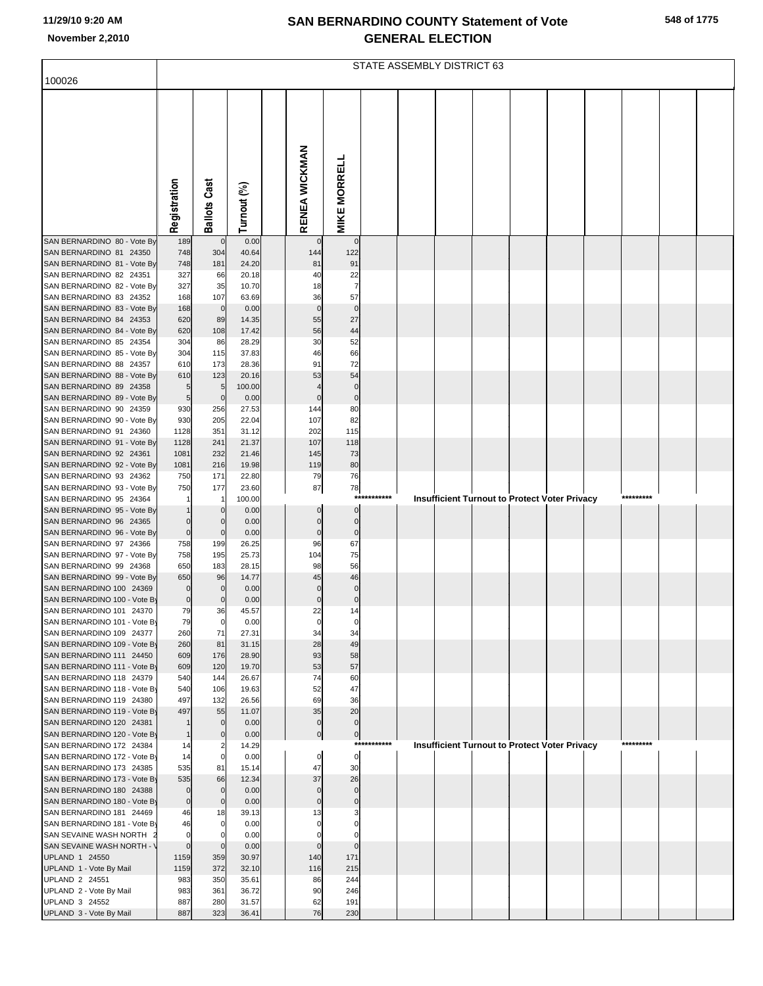| 548 of 1775 |  |
|-------------|--|
|-------------|--|

|                                                          |                        |                            |                 |                      |                               |             | STATE ASSEMBLY DISTRICT 63 |  |                                                      |           |  |
|----------------------------------------------------------|------------------------|----------------------------|-----------------|----------------------|-------------------------------|-------------|----------------------------|--|------------------------------------------------------|-----------|--|
| 100026                                                   |                        |                            |                 |                      |                               |             |                            |  |                                                      |           |  |
|                                                          |                        |                            |                 | RENEA WICKMAN        |                               |             |                            |  |                                                      |           |  |
|                                                          | Registration           | <b>Ballots Cast</b>        | Turnout (%)     |                      | <b>MIKE MORRELL</b>           |             |                            |  |                                                      |           |  |
| SAN BERNARDINO 80 - Vote By                              | 189                    | $\mathbf 0$                | 0.00            |                      | $\mathbf 0$                   |             |                            |  |                                                      |           |  |
| SAN BERNARDINO 81 24350<br>SAN BERNARDINO 81 - Vote By   | 748<br>748             | 304<br>181                 | 40.64<br>24.20  | 144<br>81            | 122<br>91                     |             |                            |  |                                                      |           |  |
| SAN BERNARDINO 82 24351                                  | 327                    | 66                         | 20.18           | 40                   | 22                            |             |                            |  |                                                      |           |  |
| SAN BERNARDINO 82 - Vote By                              | 327                    | 35                         | 10.70           | 18                   |                               |             |                            |  |                                                      |           |  |
| SAN BERNARDINO 83 24352                                  | 168                    | 107                        | 63.69           | 36                   | 57                            |             |                            |  |                                                      |           |  |
| SAN BERNARDINO 83 - Vote By<br>SAN BERNARDINO 84 24353   | 168<br>620             | $\overline{0}$<br>89       | 0.00<br>14.35   | $\mathbf 0$<br>55    | $\mathbf 0$<br>27             |             |                            |  |                                                      |           |  |
| SAN BERNARDINO 84 - Vote By                              | 620                    | 108                        | 17.42           | 56                   | 44                            |             |                            |  |                                                      |           |  |
| SAN BERNARDINO 85 24354                                  | 304                    | 86                         | 28.29           | 30                   | 52                            |             |                            |  |                                                      |           |  |
| SAN BERNARDINO 85 - Vote By                              | 304                    | 115                        | 37.83           | 46                   | 66                            |             |                            |  |                                                      |           |  |
| SAN BERNARDINO 88 24357<br>SAN BERNARDINO 88 - Vote By   | 610<br>610             | 173<br>123                 | 28.36<br>20.16  | 91<br>53             | 72<br>54                      |             |                            |  |                                                      |           |  |
| SAN BERNARDINO 89 24358                                  | $5\overline{)}$        | 5                          | 100.00          |                      | $\Omega$                      |             |                            |  |                                                      |           |  |
| SAN BERNARDINO 89 - Vote By                              | $5\overline{)}$        | $\mathbf 0$                | 0.00            | $\Omega$             | $\mathbf 0$                   |             |                            |  |                                                      |           |  |
| SAN BERNARDINO 90 24359                                  | 930                    | 256                        | 27.53           | 144                  | 80                            |             |                            |  |                                                      |           |  |
| SAN BERNARDINO 90 - Vote By                              | 930                    | 205                        | 22.04           | 107                  | 82                            |             |                            |  |                                                      |           |  |
| SAN BERNARDINO 91 24360<br>SAN BERNARDINO 91 - Vote By   | 1128<br>1128           | 351<br>241                 | 31.12<br>21.37  | 202<br>107           | 115<br>118                    |             |                            |  |                                                      |           |  |
| SAN BERNARDINO 92 24361                                  | 1081                   | 232                        | 21.46           | 145                  | 73                            |             |                            |  |                                                      |           |  |
| SAN BERNARDINO 92 - Vote By                              | 1081                   | 216                        | 19.98           | 119                  | 80                            |             |                            |  |                                                      |           |  |
| SAN BERNARDINO 93 24362                                  | 750                    | 171                        | 22.80           | 79                   | 76                            |             |                            |  |                                                      |           |  |
| SAN BERNARDINO 93 - Vote By<br>SAN BERNARDINO 95 24364   | 750                    | 177<br>$\mathbf{1}$        | 23.60<br>100.00 | 87                   | 78<br>$***$                   |             |                            |  | <b>Insufficient Turnout to Protect Voter Privacy</b> | ********* |  |
| SAN BERNARDINO 95 - Vote By                              |                        | $\mathbf 0$                | 0.00            | $\Omega$             | $\mathbf 0$                   |             |                            |  |                                                      |           |  |
| SAN BERNARDINO 96 24365                                  | $\overline{0}$         | $\mathbf 0$                | 0.00            | $\Omega$             | $\overline{0}$                |             |                            |  |                                                      |           |  |
| SAN BERNARDINO 96 - Vote By                              | $\overline{0}$         | $\mathbf 0$                | 0.00            | $\mathbf 0$          | $\mathbf 0$                   |             |                            |  |                                                      |           |  |
| SAN BERNARDINO 97 24366<br>SAN BERNARDINO 97 - Vote By   | 758<br>758             | 199<br>195                 | 26.25<br>25.73  | 96<br>104            | 67<br>75                      |             |                            |  |                                                      |           |  |
| SAN BERNARDINO 99 24368                                  | 650                    | 183                        | 28.15           | 98                   | 56                            |             |                            |  |                                                      |           |  |
| SAN BERNARDINO 99 - Vote By                              | 650                    | 96                         | 14.77           | 45                   | 46                            |             |                            |  |                                                      |           |  |
| SAN BERNARDINO 100 24369                                 | $\overline{0}$         | $\pmb{0}$                  | 0.00            | $\mathbf 0$          | $\mathbf 0$                   |             |                            |  |                                                      |           |  |
| SAN BERNARDINO 100 - Vote By<br>SAN BERNARDINO 101 24370 | $\overline{0}$         | $\overline{0}$             | 0.00            | $\overline{0}$       | $\overline{0}$                |             |                            |  |                                                      |           |  |
| SAN BERNARDINO 101 - Vote By                             | 79<br>79               | 36<br>$\mathbf 0$          | 45.57<br>0.00   | 22<br>$\mathbf 0$    | 14<br>$\Omega$                |             |                            |  |                                                      |           |  |
| SAN BERNARDINO 109 24377                                 | 260                    | 71                         | 27.31           | 34                   | 34                            |             |                            |  |                                                      |           |  |
| SAN BERNARDINO 109 - Vote By                             | 260                    | 81                         | 31.15           | 28                   | 49                            |             |                            |  |                                                      |           |  |
| SAN BERNARDINO 111 24450                                 | 609                    | 176                        | 28.90           | 93                   | 58                            |             |                            |  |                                                      |           |  |
| SAN BERNARDINO 111 - Vote By<br>SAN BERNARDINO 118 24379 | 609<br>540             | 120<br>144                 | 19.70<br>26.67  | 53<br>74             | 57<br>60                      |             |                            |  |                                                      |           |  |
| SAN BERNARDINO 118 - Vote By                             | 540                    | 106                        | 19.63           | 52                   | 47                            |             |                            |  |                                                      |           |  |
| SAN BERNARDINO 119 24380                                 | 497                    | 132                        | 26.56           | 69                   | 36                            |             |                            |  |                                                      |           |  |
| SAN BERNARDINO 119 - Vote By                             | 497                    | 55                         | 11.07           | 35                   | 20                            |             |                            |  |                                                      |           |  |
| SAN BERNARDINO 120 24381<br>SAN BERNARDINO 120 - Vote By |                        | $\mathbf 0$<br>$\mathbf 0$ | 0.00<br>0.00    | $\Omega$             | $\mathbf 0$<br>$\overline{0}$ |             |                            |  |                                                      |           |  |
| SAN BERNARDINO 172 24384                                 | 14                     | 2                          | 14.29           |                      |                               | *********** |                            |  | <b>Insufficient Turnout to Protect Voter Privacy</b> | ********* |  |
| SAN BERNARDINO 172 - Vote By                             | 14                     | $\mathbf 0$                | 0.00            | 0                    | $\overline{0}$                |             |                            |  |                                                      |           |  |
| SAN BERNARDINO 173 24385                                 | 535                    | 81                         | 15.14           | 47                   | 30                            |             |                            |  |                                                      |           |  |
| SAN BERNARDINO 173 - Vote By                             | 535                    | 66                         | 12.34           | 37                   | 26                            |             |                            |  |                                                      |           |  |
| SAN BERNARDINO 180 24388<br>SAN BERNARDINO 180 - Vote By | $\overline{0}$         | $\mathbf 0$<br>$\mathbf 0$ | 0.00<br>0.00    | $\Omega$<br>$\Omega$ | $\mathbf 0$<br>$\mathbf{0}$   |             |                            |  |                                                      |           |  |
| SAN BERNARDINO 181 24469                                 | 46                     | 18                         | 39.13           | 13                   |                               |             |                            |  |                                                      |           |  |
| SAN BERNARDINO 181 - Vote By                             | 46                     | $\mathbf 0$                | 0.00            |                      |                               |             |                            |  |                                                      |           |  |
| SAN SEVAINE WASH NORTH :                                 | $\mathbf{0}$           | O                          | 0.00            |                      |                               |             |                            |  |                                                      |           |  |
| SAN SEVAINE WASH NORTH - \<br>UPLAND 1 24550             | $\overline{0}$<br>1159 | $\mathbf 0$<br>359         | 0.00<br>30.97   | $\Omega$<br>140      | 171                           |             |                            |  |                                                      |           |  |
| UPLAND 1 - Vote By Mail                                  | 1159                   | 372                        | 32.10           | 116                  | 215                           |             |                            |  |                                                      |           |  |
| UPLAND 2 24551                                           | 983                    | 350                        | 35.61           | 86                   | 244                           |             |                            |  |                                                      |           |  |
| UPLAND 2 - Vote By Mail                                  | 983                    | 361                        | 36.72           | 90                   | 246                           |             |                            |  |                                                      |           |  |
| UPLAND 3 24552                                           | 887                    | 280                        | 31.57           | 62                   | 191                           |             |                            |  |                                                      |           |  |
| UPLAND 3 - Vote By Mail                                  | 887                    | 323                        | 36.41           | 76                   | 230                           |             |                            |  |                                                      |           |  |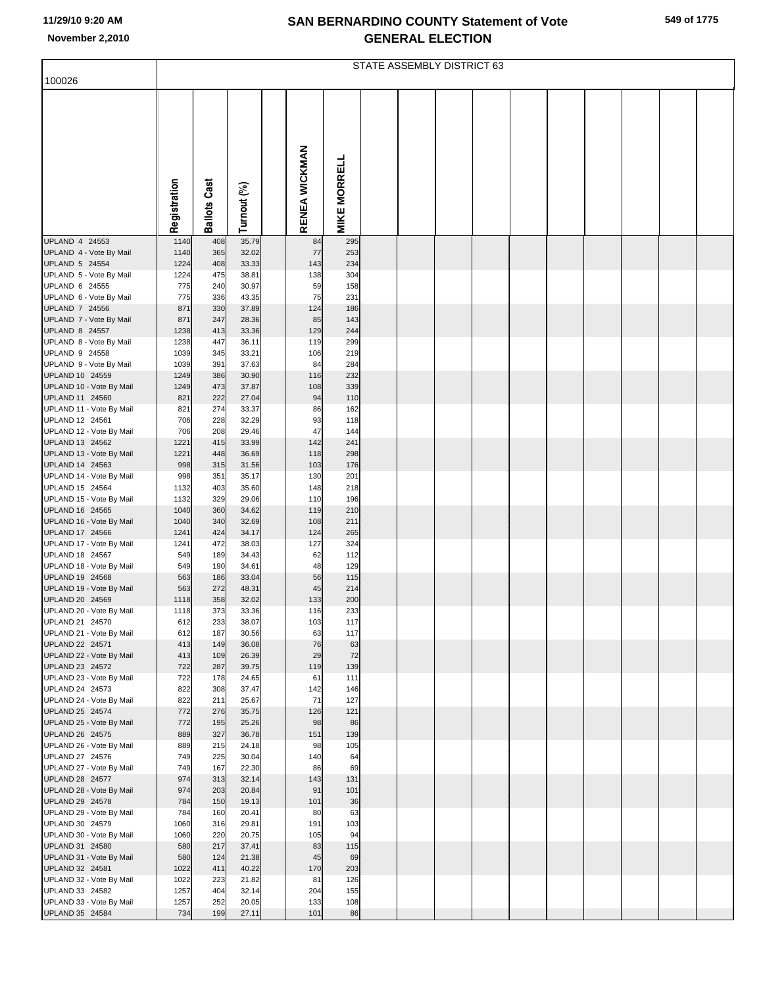|  | 549 of 1775 |
|--|-------------|
|  |             |

|                                                                                                                                                                                  |                                                          |                                                      |                                                                      |                                                 |                                                      | <b>STATE ASSEMBLY DISTRICT 63</b> |  |  |  |  |
|----------------------------------------------------------------------------------------------------------------------------------------------------------------------------------|----------------------------------------------------------|------------------------------------------------------|----------------------------------------------------------------------|-------------------------------------------------|------------------------------------------------------|-----------------------------------|--|--|--|--|
| 100026                                                                                                                                                                           |                                                          |                                                      |                                                                      |                                                 |                                                      |                                   |  |  |  |  |
|                                                                                                                                                                                  | Registration                                             | <b>Ballots Cast</b>                                  | Turnout (%)                                                          | RENEA WICKMAN                                   | <b>MIKE MORRELL</b>                                  |                                   |  |  |  |  |
|                                                                                                                                                                                  |                                                          |                                                      |                                                                      |                                                 |                                                      |                                   |  |  |  |  |
| UPLAND 4 24553<br>UPLAND 4 - Vote By Mail<br>UPLAND 5 24554<br>UPLAND 5 - Vote By Mail<br>UPLAND 6 24555<br>UPLAND 6 - Vote By Mail<br>UPLAND 7 24556<br>UPLAND 7 - Vote By Mail | 1140<br>1140<br>1224<br>1224<br>775<br>775<br>871<br>871 | 408<br>365<br>408<br>475<br>240<br>336<br>330<br>247 | 35.79<br>32.02<br>33.33<br>38.81<br>30.97<br>43.35<br>37.89<br>28.36 | 84<br>77<br>143<br>138<br>59<br>75<br>124<br>85 | 295<br>253<br>234<br>304<br>158<br>231<br>186<br>143 |                                   |  |  |  |  |
| UPLAND 8 24557                                                                                                                                                                   | 1238                                                     | 413                                                  | 33.36                                                                | 129                                             | 244                                                  |                                   |  |  |  |  |
| UPLAND 8 - Vote By Mail<br>UPLAND 9 24558<br>UPLAND 9 - Vote By Mail<br>UPLAND 10 24559<br>UPLAND 10 - Vote By Mail                                                              | 1238<br>1039<br>1039<br>1249<br>1249                     | 447<br>345<br>391<br>386<br>473                      | 36.11<br>33.21<br>37.63<br>30.90<br>37.87                            | 119<br>106<br>84<br>116<br>108                  | 299<br>219<br>284<br>232<br>339                      |                                   |  |  |  |  |
| UPLAND 11 24560<br>UPLAND 11 - Vote By Mail                                                                                                                                      | 821<br>821                                               | 222<br>274                                           | 27.04<br>33.37                                                       | 94<br>86                                        | 110<br>162                                           |                                   |  |  |  |  |
| UPLAND 12 24561<br>UPLAND 12 - Vote By Mail<br>UPLAND 13 24562                                                                                                                   | 706<br>706<br>1221                                       | 228<br>208<br>415                                    | 32.29<br>29.46<br>33.99                                              | 93<br>47<br>142                                 | 118<br>144<br>241                                    |                                   |  |  |  |  |
| UPLAND 13 - Vote By Mail                                                                                                                                                         | 1221                                                     | 448                                                  | 36.69                                                                | 118                                             | 298                                                  |                                   |  |  |  |  |
| UPLAND 14 24563                                                                                                                                                                  | 998                                                      | 315<br>351                                           | 31.56<br>35.17                                                       | 103<br>130                                      | 176<br>201                                           |                                   |  |  |  |  |
| UPLAND 14 - Vote By Mail<br>UPLAND 15 24564                                                                                                                                      | 998<br>1132                                              | 403                                                  | 35.60                                                                | 148                                             | 218                                                  |                                   |  |  |  |  |
| UPLAND 15 - Vote By Mail                                                                                                                                                         | 1132                                                     | 329                                                  | 29.06                                                                | 110                                             | 196                                                  |                                   |  |  |  |  |
| UPLAND 16 24565<br>UPLAND 16 - Vote By Mail                                                                                                                                      | 1040<br>1040                                             | 360<br>340                                           | 34.62<br>32.69                                                       | 119<br>108                                      | 210<br>211                                           |                                   |  |  |  |  |
| UPLAND 17 24566                                                                                                                                                                  | 1241                                                     | 424                                                  | 34.17                                                                | 124                                             | 265                                                  |                                   |  |  |  |  |
| UPLAND 17 - Vote By Mail<br>UPLAND 18 24567                                                                                                                                      | 1241<br>549                                              | 472<br>189                                           | 38.03<br>34.43                                                       | 127<br>62                                       | 324<br>112                                           |                                   |  |  |  |  |
| UPLAND 18 - Vote By Mail                                                                                                                                                         | 549                                                      | 190                                                  | 34.61                                                                | 48                                              | 129                                                  |                                   |  |  |  |  |
| UPLAND 19 24568<br>UPLAND 19 - Vote By Mail                                                                                                                                      | 563<br>563                                               | 186<br>272                                           | 33.04<br>48.31                                                       | 56<br>45                                        | 115<br>214                                           |                                   |  |  |  |  |
| UPLAND 20 24569                                                                                                                                                                  | 1118                                                     | 358                                                  | 32.02                                                                | 133                                             | 200                                                  |                                   |  |  |  |  |
| UPLAND 20 - Vote By Mail<br>UPLAND 21 24570                                                                                                                                      | 1118                                                     | 373                                                  | 33.36                                                                | 116                                             | 233                                                  |                                   |  |  |  |  |
| UPLAND 21 - Vote By Mail                                                                                                                                                         | 612<br>612                                               | 233<br>187                                           | 38.07<br>30.56                                                       | 103<br>63                                       | 117<br>117                                           |                                   |  |  |  |  |
| UPLAND 22 24571                                                                                                                                                                  | 413                                                      | 149                                                  | 36.08                                                                | 76                                              | 63                                                   |                                   |  |  |  |  |
| UPLAND 22 - Vote By Mail<br>UPLAND 23 24572                                                                                                                                      | 413<br>722                                               | 109<br>287                                           | 26.39<br>39.75                                                       | 29<br>119                                       | 72<br>139                                            |                                   |  |  |  |  |
| UPLAND 23 - Vote By Mail                                                                                                                                                         | 722                                                      | 178                                                  | 24.65                                                                | 61                                              | 111                                                  |                                   |  |  |  |  |
| UPLAND 24 24573<br>UPLAND 24 - Vote By Mail                                                                                                                                      | 822<br>822                                               | 308<br>211                                           | 37.47<br>25.67                                                       | 142<br>71                                       | 146<br>127                                           |                                   |  |  |  |  |
| UPLAND 25 24574                                                                                                                                                                  | 772                                                      | 276                                                  | 35.75                                                                | 126                                             | 121                                                  |                                   |  |  |  |  |
| UPLAND 25 - Vote By Mail<br>UPLAND 26 24575                                                                                                                                      | 772<br>889                                               | 195<br>327                                           | 25.26<br>36.78                                                       | 98<br>151                                       | 86<br>139                                            |                                   |  |  |  |  |
| UPLAND 26 - Vote By Mail                                                                                                                                                         | 889                                                      | 215                                                  | 24.18                                                                | 98                                              | 105                                                  |                                   |  |  |  |  |
| UPLAND 27 24576<br>UPLAND 27 - Vote By Mail                                                                                                                                      | 749<br>749                                               | 225<br>167                                           | 30.04<br>22.30                                                       | 140<br>86                                       | 64<br>69                                             |                                   |  |  |  |  |
| UPLAND 28 24577                                                                                                                                                                  | 974                                                      | 313                                                  | 32.14                                                                | 143                                             | 131                                                  |                                   |  |  |  |  |
| UPLAND 28 - Vote By Mail<br>UPLAND 29 24578                                                                                                                                      | 974<br>784                                               | 203<br>150                                           | 20.84<br>19.13                                                       | 91<br>101                                       | 101<br>36                                            |                                   |  |  |  |  |
| UPLAND 29 - Vote By Mail                                                                                                                                                         | 784                                                      | 160                                                  | 20.41                                                                | 80                                              | 63                                                   |                                   |  |  |  |  |
| UPLAND 30 24579<br>UPLAND 30 - Vote By Mail                                                                                                                                      | 1060<br>1060                                             | 316<br>220                                           | 29.81<br>20.75                                                       | 191<br>105                                      | 103<br>94                                            |                                   |  |  |  |  |
| UPLAND 31 24580                                                                                                                                                                  | 580                                                      | 217                                                  | 37.41                                                                | 83                                              | 115                                                  |                                   |  |  |  |  |
| UPLAND 31 - Vote By Mail<br>UPLAND 32 24581                                                                                                                                      | 580<br>1022                                              | 124<br>411                                           | 21.38<br>40.22                                                       | 45<br>170                                       | 69<br>203                                            |                                   |  |  |  |  |
| UPLAND 32 - Vote By Mail                                                                                                                                                         | 1022                                                     | 223                                                  | 21.82                                                                | 81                                              | 126                                                  |                                   |  |  |  |  |
| UPLAND 33 24582                                                                                                                                                                  | 1257                                                     | 404                                                  | 32.14                                                                | 204                                             | 155                                                  |                                   |  |  |  |  |
| UPLAND 33 - Vote By Mail<br>UPLAND 35 24584                                                                                                                                      | 1257<br>734                                              | 252<br>199                                           | 20.05<br>27.11                                                       | 133<br>101                                      | 108<br>86                                            |                                   |  |  |  |  |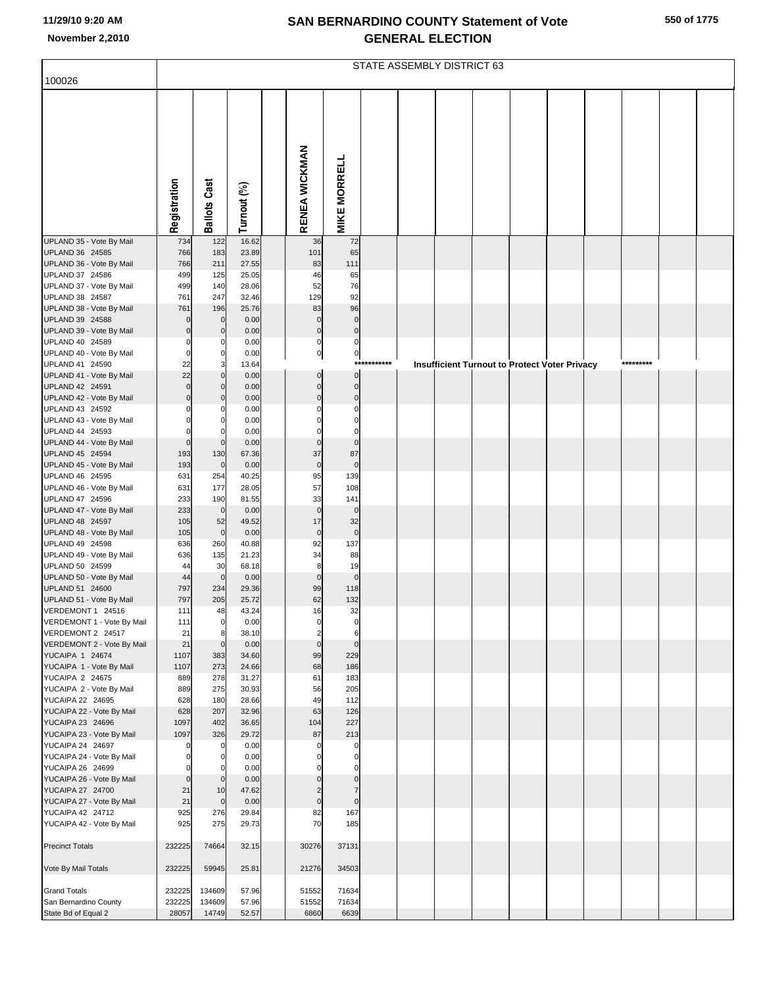|                                                      |                         |                      |                |                             |                            |             | STATE ASSEMBLY DISTRICT 63 |  |                                                      |           |  |
|------------------------------------------------------|-------------------------|----------------------|----------------|-----------------------------|----------------------------|-------------|----------------------------|--|------------------------------------------------------|-----------|--|
| 100026                                               |                         |                      |                |                             |                            |             |                            |  |                                                      |           |  |
|                                                      | Registration            | <b>Ballots Cast</b>  | Turnout (%)    | RENEA WICKMAN               | <b>MIKE MORRELL</b>        |             |                            |  |                                                      |           |  |
| UPLAND 35 - Vote By Mail                             | 734                     | 122                  | 16.62          | 36                          | 72                         |             |                            |  |                                                      |           |  |
| UPLAND 36 24585<br>UPLAND 36 - Vote By Mail          | 766<br>766              | 183<br>211           | 23.89<br>27.55 | 101                         | 65<br>111                  |             |                            |  |                                                      |           |  |
| UPLAND 37 24586                                      | 499                     | 125                  | 25.05          | 83<br>46                    | 65                         |             |                            |  |                                                      |           |  |
| UPLAND 37 - Vote By Mail                             | 499                     | 140                  | 28.06          | 52                          | 76                         |             |                            |  |                                                      |           |  |
| UPLAND 38 24587                                      | 761                     | 247                  | 32.46          | 129                         | 92                         |             |                            |  |                                                      |           |  |
| UPLAND 38 - Vote By Mail                             | 761                     | 196                  | 25.76          | 83                          | 96                         |             |                            |  |                                                      |           |  |
| UPLAND 39 24588<br>UPLAND 39 - Vote By Mail          | $\mathbf 0$<br>$\Omega$ | $\mathbf 0$          | 0.00<br>0.00   | $\mathbf{0}$<br>$\mathbf 0$ | $\mathbf 0$<br>$\mathbf 0$ |             |                            |  |                                                      |           |  |
| UPLAND 40 24589                                      | $\Omega$                | 0                    | 0.00           | 0                           | $\pmb{0}$                  |             |                            |  |                                                      |           |  |
| UPLAND 40 - Vote By Mail                             | $\Omega$                |                      | 0.00           | $\pmb{0}$                   | $\mathbf{0}$               |             |                            |  |                                                      |           |  |
| UPLAND 41 24590                                      | 22                      | 3                    | 13.64          |                             |                            | *********** |                            |  | <b>Insufficient Turnout to Protect Voter Privacy</b> | ********* |  |
| UPLAND 41 - Vote By Mail                             | 22                      |                      | 0.00           | $\Omega$                    | $\Omega$                   |             |                            |  |                                                      |           |  |
| UPLAND 42 24591<br>UPLAND 42 - Vote By Mail          | $\Omega$<br>$\Omega$    |                      | 0.00<br>0.00   | $\Omega$<br>$\mathcal{C}$   | $\mathbf 0$<br>$\mathbf 0$ |             |                            |  |                                                      |           |  |
| UPLAND 43 24592                                      |                         |                      | 0.00           |                             | $\Omega$                   |             |                            |  |                                                      |           |  |
| UPLAND 43 - Vote By Mail                             |                         |                      | 0.00           |                             | $\Omega$                   |             |                            |  |                                                      |           |  |
| UPLAND 44 24593                                      | $\Omega$                |                      | 0.00           |                             | 0                          |             |                            |  |                                                      |           |  |
| UPLAND 44 - Vote By Mail                             | $\Omega$                | $\Omega$             | 0.00           | $\Omega$                    | $\mathbf 0$                |             |                            |  |                                                      |           |  |
| UPLAND 45 24594                                      | 193                     | 130                  | 67.36          | 37                          | 87<br>$\mathbf 0$          |             |                            |  |                                                      |           |  |
| UPLAND 45 - Vote By Mail<br>UPLAND 46 24595          | 193<br>631              | $\mathbf 0$<br>254   | 0.00<br>40.25  | $\mathbf 0$<br>95           | 139                        |             |                            |  |                                                      |           |  |
| UPLAND 46 - Vote By Mail                             | 631                     | 177                  | 28.05          | 57                          | 108                        |             |                            |  |                                                      |           |  |
| UPLAND 47 24596                                      | 233                     | 190                  | 81.55          | 33                          | 141                        |             |                            |  |                                                      |           |  |
| UPLAND 47 - Vote By Mail                             | 233                     | $\mathbf 0$          | 0.00           | $\mathbf 0$                 | $\mathbf 0$                |             |                            |  |                                                      |           |  |
| UPLAND 48 24597                                      | 105<br>105              | 52<br>$\mathbf 0$    | 49.52<br>0.00  | 17<br>$\pmb{0}$             | 32<br>$\mathbf 0$          |             |                            |  |                                                      |           |  |
| UPLAND 48 - Vote By Mail<br>UPLAND 49 24598          | 636                     | 260                  | 40.88          | 92                          | 137                        |             |                            |  |                                                      |           |  |
| UPLAND 49 - Vote By Mail                             | 636                     | 135                  | 21.23          | 34                          | 88                         |             |                            |  |                                                      |           |  |
| UPLAND 50 24599                                      | 44                      | 30                   | 68.18          | 8                           | 19                         |             |                            |  |                                                      |           |  |
| UPLAND 50 - Vote By Mail                             | 44                      | $\mathbf 0$          | 0.00           | $\mathbf 0$                 | $\mathbf 0$                |             |                            |  |                                                      |           |  |
| UPLAND 51 24600<br>UPLAND 51 - Vote By Mail          | 797<br>797              | 234<br>205           | 29.36<br>25.72 | 99<br>62                    | 118<br>132                 |             |                            |  |                                                      |           |  |
| VERDEMONT 1 24516                                    | 111                     | 48                   | 43.24          | 16                          | 32                         |             |                            |  |                                                      |           |  |
| VERDEMONT 1 - Vote By Mail                           | 111                     | $\overline{0}$       | 0.00           | 0                           | $\mathbf 0$                |             |                            |  |                                                      |           |  |
| VERDEMONT 2 24517                                    | 21                      | 8                    | 38.10          | 2                           | 6                          |             |                            |  |                                                      |           |  |
| VERDEMONT 2 - Vote By Mail<br><b>YUCAIPA 1 24674</b> | 21                      | $\Omega$             | 0.00           | $\mathbf 0$                 | $\mathbf 0$<br>229         |             |                            |  |                                                      |           |  |
| YUCAIPA 1 - Vote By Mail                             | 1107<br>1107            | 383<br>273           | 34.60<br>24.66 | 99<br>68                    | 186                        |             |                            |  |                                                      |           |  |
| YUCAIPA 2 24675                                      | 889                     | 278                  | 31.27          | 61                          | 183                        |             |                            |  |                                                      |           |  |
| YUCAIPA 2 - Vote By Mail                             | 889                     | 275                  | 30.93          | 56                          | 205                        |             |                            |  |                                                      |           |  |
| YUCAIPA 22 24695                                     | 628                     | 180                  | 28.66          | 49                          | 112                        |             |                            |  |                                                      |           |  |
| YUCAIPA 22 - Vote By Mail<br>YUCAIPA 23 24696        | 628<br>1097             | 207<br>402           | 32.96<br>36.65 | 63<br>104                   | 126<br>227                 |             |                            |  |                                                      |           |  |
| YUCAIPA 23 - Vote By Mail                            | 1097                    | 326                  | 29.72          | 87                          | 213                        |             |                            |  |                                                      |           |  |
| YUCAIPA 24 24697                                     |                         | 0                    | 0.00           | C                           | $\Omega$                   |             |                            |  |                                                      |           |  |
| YUCAIPA 24 - Vote By Mail                            |                         |                      | 0.00           |                             | $\Omega$                   |             |                            |  |                                                      |           |  |
| YUCAIPA 26 24699                                     | 0<br>$\mathbf 0$        | $\Omega$<br>$\Omega$ | 0.00<br>0.00   |                             | 0<br>$\Omega$              |             |                            |  |                                                      |           |  |
| YUCAIPA 26 - Vote By Mail<br>YUCAIPA 27 24700        | 21                      | 10                   | 47.62          |                             |                            |             |                            |  |                                                      |           |  |
| YUCAIPA 27 - Vote By Mail                            | 21                      | $\Omega$             | 0.00           | $\mathbf 0$                 | $\overline{0}$             |             |                            |  |                                                      |           |  |
| YUCAIPA 42 24712                                     | 925                     | 276                  | 29.84          | 82                          | 167                        |             |                            |  |                                                      |           |  |
| YUCAIPA 42 - Vote By Mail                            | 925                     | 275                  | 29.73          | 70                          | 185                        |             |                            |  |                                                      |           |  |
| <b>Precinct Totals</b>                               | 232225                  | 74664                | 32.15          | 30276                       | 37131                      |             |                            |  |                                                      |           |  |
| Vote By Mail Totals                                  | 232225                  | 59945                | 25.81          | 21276                       | 34503                      |             |                            |  |                                                      |           |  |
| <b>Grand Totals</b>                                  | 232225                  | 134609               | 57.96          | 51552                       | 71634                      |             |                            |  |                                                      |           |  |
| San Bernardino County                                | 232225                  | 134609               | 57.96          | 51552                       | 71634                      |             |                            |  |                                                      |           |  |
| State Bd of Equal 2                                  | 28057                   | 14749                | 52.57          | 6860                        | 6639                       |             |                            |  |                                                      |           |  |